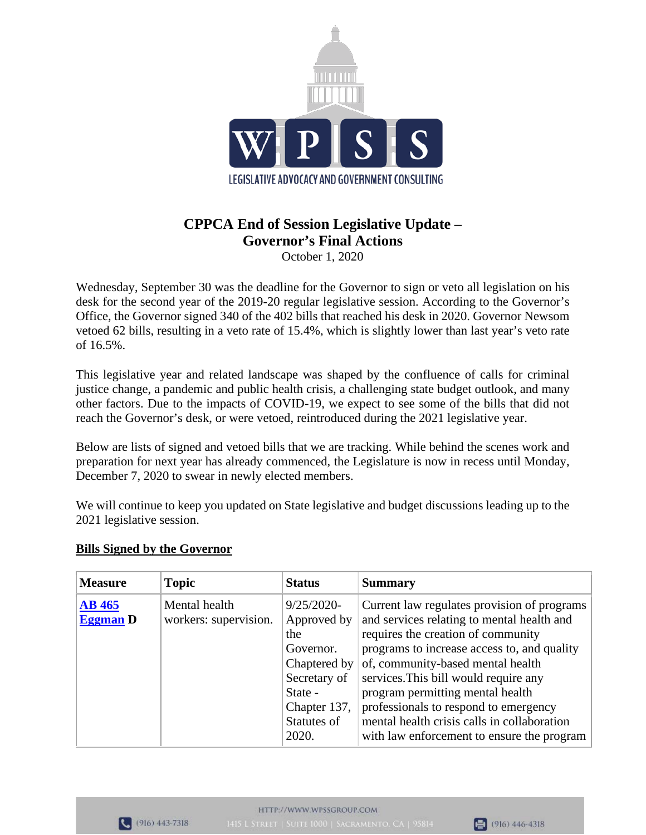

## **CPPCA End of Session Legislative Update – Governor's Final Actions** October 1, 2020

Wednesday, September 30 was the deadline for the Governor to sign or veto all legislation on his desk for the second year of the 2019-20 regular legislative session. According to the Governor's Office, the Governor signed 340 of the 402 bills that reached his desk in 2020. Governor Newsom vetoed 62 bills, resulting in a veto rate of 15.4%, which is slightly lower than last year's veto rate of 16.5%.

This legislative year and related landscape was shaped by the confluence of calls for criminal justice change, a pandemic and public health crisis, a challenging state budget outlook, and many other factors. Due to the impacts of COVID-19, we expect to see some of the bills that did not reach the Governor's desk, or were vetoed, reintroduced during the 2021 legislative year.

Below are lists of signed and vetoed bills that we are tracking. While behind the scenes work and preparation for next year has already commenced, the Legislature is now in recess until Monday, December 7, 2020 to swear in newly elected members.

We will continue to keep you updated on State legislative and budget discussions leading up to the 2021 legislative session.

| <b>Measure</b>                   | <b>Topic</b>                           | <b>Status</b>                                                                                                              | <b>Summary</b>                                                                                                                                                                                                                                                                                                                                                                           |
|----------------------------------|----------------------------------------|----------------------------------------------------------------------------------------------------------------------------|------------------------------------------------------------------------------------------------------------------------------------------------------------------------------------------------------------------------------------------------------------------------------------------------------------------------------------------------------------------------------------------|
| <b>AB</b> 465<br><b>Eggman</b> D | Mental health<br>workers: supervision. | $9/25/2020$ -<br>Approved by<br>the<br>Governor.<br>Chaptered by<br>Secretary of<br>State -<br>Chapter 137,<br>Statutes of | Current law regulates provision of programs<br>and services relating to mental health and<br>requires the creation of community<br>programs to increase access to, and quality<br>of, community-based mental health<br>services. This bill would require any<br>program permitting mental health<br>professionals to respond to emergency<br>mental health crisis calls in collaboration |
|                                  |                                        | 2020.                                                                                                                      | with law enforcement to ensure the program                                                                                                                                                                                                                                                                                                                                               |

## **Bills Signed by the Governor**



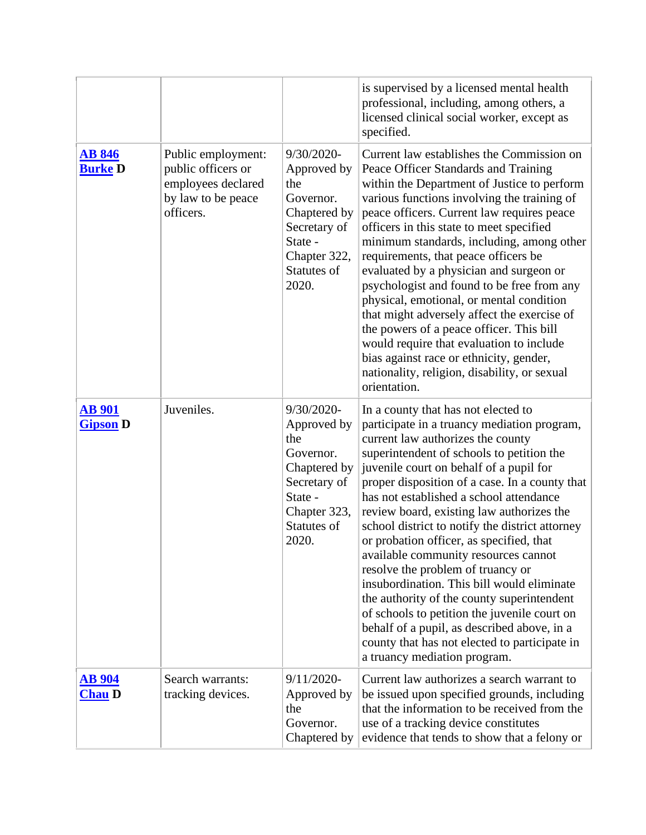|                                  |                                                                                                   |                                                                                                                                         | is supervised by a licensed mental health<br>professional, including, among others, a<br>licensed clinical social worker, except as<br>specified.                                                                                                                                                                                                                                                                                                                                                                                                                                                                                                                                                                                                                                                                 |
|----------------------------------|---------------------------------------------------------------------------------------------------|-----------------------------------------------------------------------------------------------------------------------------------------|-------------------------------------------------------------------------------------------------------------------------------------------------------------------------------------------------------------------------------------------------------------------------------------------------------------------------------------------------------------------------------------------------------------------------------------------------------------------------------------------------------------------------------------------------------------------------------------------------------------------------------------------------------------------------------------------------------------------------------------------------------------------------------------------------------------------|
| <b>AB 846</b><br><b>Burke D</b>  | Public employment:<br>public officers or<br>employees declared<br>by law to be peace<br>officers. | 9/30/2020-<br>Approved by<br>the<br>Governor.<br>Chaptered by<br>Secretary of<br>State -<br>Chapter 322,<br>Statutes of<br>2020.        | Current law establishes the Commission on<br>Peace Officer Standards and Training<br>within the Department of Justice to perform<br>various functions involving the training of<br>peace officers. Current law requires peace<br>officers in this state to meet specified<br>minimum standards, including, among other<br>requirements, that peace officers be<br>evaluated by a physician and surgeon or<br>psychologist and found to be free from any<br>physical, emotional, or mental condition<br>that might adversely affect the exercise of<br>the powers of a peace officer. This bill<br>would require that evaluation to include<br>bias against race or ethnicity, gender,<br>nationality, religion, disability, or sexual<br>orientation.                                                             |
| <b>AB 901</b><br><b>Gipson D</b> | Juveniles.                                                                                        | 9/30/2020-<br>Approved by<br>the<br>Governor.<br>Chaptered by<br>Secretary of<br>State -<br>Chapter 323,<br><b>Statutes of</b><br>2020. | In a county that has not elected to<br>participate in a truancy mediation program,<br>current law authorizes the county<br>superintendent of schools to petition the<br>juvenile court on behalf of a pupil for<br>proper disposition of a case. In a county that<br>has not established a school attendance<br>review board, existing law authorizes the<br>school district to notify the district attorney<br>or probation officer, as specified, that<br>available community resources cannot<br>resolve the problem of truancy or<br>insubordination. This bill would eliminate<br>the authority of the county superintendent<br>of schools to petition the juvenile court on<br>behalf of a pupil, as described above, in a<br>county that has not elected to participate in<br>a truancy mediation program. |
| <u>AB 904</u><br><b>Chau D</b>   | Search warrants:<br>tracking devices.                                                             | $9/11/2020$ -<br>Approved by<br>the<br>Governor.<br>Chaptered by                                                                        | Current law authorizes a search warrant to<br>be issued upon specified grounds, including<br>that the information to be received from the<br>use of a tracking device constitutes<br>evidence that tends to show that a felony or                                                                                                                                                                                                                                                                                                                                                                                                                                                                                                                                                                                 |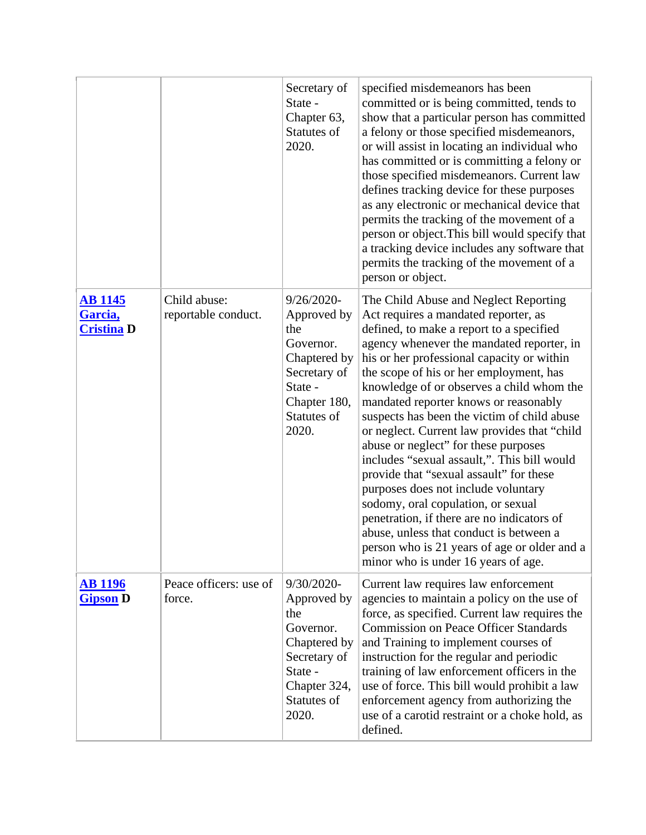|                                                |                                     | Secretary of<br>State -<br>Chapter 63,<br>Statutes of<br>2020.                                                                   | specified misdemeanors has been<br>committed or is being committed, tends to<br>show that a particular person has committed<br>a felony or those specified misdemeanors,<br>or will assist in locating an individual who<br>has committed or is committing a felony or<br>those specified misdemeanors. Current law<br>defines tracking device for these purposes<br>as any electronic or mechanical device that<br>permits the tracking of the movement of a<br>person or object. This bill would specify that<br>a tracking device includes any software that<br>permits the tracking of the movement of a<br>person or object.                                                                                                                                                                                                                    |
|------------------------------------------------|-------------------------------------|----------------------------------------------------------------------------------------------------------------------------------|------------------------------------------------------------------------------------------------------------------------------------------------------------------------------------------------------------------------------------------------------------------------------------------------------------------------------------------------------------------------------------------------------------------------------------------------------------------------------------------------------------------------------------------------------------------------------------------------------------------------------------------------------------------------------------------------------------------------------------------------------------------------------------------------------------------------------------------------------|
| <u>AB 1145</u><br>Garcia,<br><b>Cristina</b> D | Child abuse:<br>reportable conduct. | 9/26/2020-<br>Approved by<br>the<br>Governor.<br>Chaptered by<br>Secretary of<br>State -<br>Chapter 180,<br>Statutes of<br>2020. | The Child Abuse and Neglect Reporting<br>Act requires a mandated reporter, as<br>defined, to make a report to a specified<br>agency whenever the mandated reporter, in<br>his or her professional capacity or within<br>the scope of his or her employment, has<br>knowledge of or observes a child whom the<br>mandated reporter knows or reasonably<br>suspects has been the victim of child abuse<br>or neglect. Current law provides that "child"<br>abuse or neglect" for these purposes<br>includes "sexual assault,". This bill would<br>provide that "sexual assault" for these<br>purposes does not include voluntary<br>sodomy, oral copulation, or sexual<br>penetration, if there are no indicators of<br>abuse, unless that conduct is between a<br>person who is 21 years of age or older and a<br>minor who is under 16 years of age. |
| <b>AB 1196</b><br><b>Gipson</b> D              | Peace officers: use of<br>force.    | 9/30/2020-<br>Approved by<br>the<br>Governor.<br>Chaptered by<br>Secretary of<br>State -<br>Chapter 324,<br>Statutes of<br>2020. | Current law requires law enforcement<br>agencies to maintain a policy on the use of<br>force, as specified. Current law requires the<br><b>Commission on Peace Officer Standards</b><br>and Training to implement courses of<br>instruction for the regular and periodic<br>training of law enforcement officers in the<br>use of force. This bill would prohibit a law<br>enforcement agency from authorizing the<br>use of a carotid restraint or a choke hold, as<br>defined.                                                                                                                                                                                                                                                                                                                                                                     |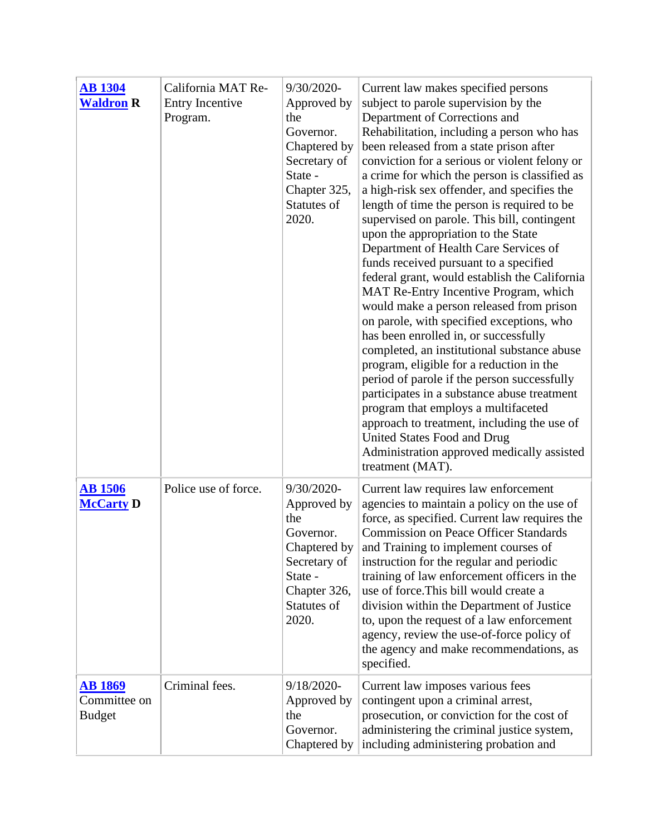| <b>AB</b> 1304<br><b>Waldron R</b>              | California MAT Re-<br>Entry Incentive<br>Program. | 9/30/2020-<br>Approved by<br>the<br>Governor.<br>Chaptered by<br>Secretary of<br>State -<br>Chapter 325,<br>Statutes of<br>2020.     | Current law makes specified persons<br>subject to parole supervision by the<br>Department of Corrections and<br>Rehabilitation, including a person who has<br>been released from a state prison after<br>conviction for a serious or violent felony or<br>a crime for which the person is classified as<br>a high-risk sex offender, and specifies the<br>length of time the person is required to be<br>supervised on parole. This bill, contingent<br>upon the appropriation to the State<br>Department of Health Care Services of<br>funds received pursuant to a specified<br>federal grant, would establish the California<br>MAT Re-Entry Incentive Program, which<br>would make a person released from prison<br>on parole, with specified exceptions, who<br>has been enrolled in, or successfully<br>completed, an institutional substance abuse<br>program, eligible for a reduction in the<br>period of parole if the person successfully<br>participates in a substance abuse treatment<br>program that employs a multifaceted<br>approach to treatment, including the use of<br>United States Food and Drug<br>Administration approved medically assisted<br>treatment (MAT). |
|-------------------------------------------------|---------------------------------------------------|--------------------------------------------------------------------------------------------------------------------------------------|--------------------------------------------------------------------------------------------------------------------------------------------------------------------------------------------------------------------------------------------------------------------------------------------------------------------------------------------------------------------------------------------------------------------------------------------------------------------------------------------------------------------------------------------------------------------------------------------------------------------------------------------------------------------------------------------------------------------------------------------------------------------------------------------------------------------------------------------------------------------------------------------------------------------------------------------------------------------------------------------------------------------------------------------------------------------------------------------------------------------------------------------------------------------------------------------|
| <b>AB</b> 1506<br><b>McCarty D</b>              | Police use of force.                              | 9/30/2020-<br>Approved by<br>the<br>Governor.<br>Chaptered by $ $<br>Secretary of<br>State -<br>Chapter 326,<br>Statutes of<br>2020. | Current law requires law enforcement<br>agencies to maintain a policy on the use of<br>force, as specified. Current law requires the<br><b>Commission on Peace Officer Standards</b><br>and Training to implement courses of<br>instruction for the regular and periodic<br>training of law enforcement officers in the<br>use of force. This bill would create a<br>division within the Department of Justice<br>to, upon the request of a law enforcement<br>agency, review the use-of-force policy of<br>the agency and make recommendations, as<br>specified.                                                                                                                                                                                                                                                                                                                                                                                                                                                                                                                                                                                                                          |
| <u>AB 1869</u><br>Committee on<br><b>Budget</b> | Criminal fees.                                    | 9/18/2020-<br>Approved by<br>the<br>Governor.<br>Chaptered by                                                                        | Current law imposes various fees<br>contingent upon a criminal arrest,<br>prosecution, or conviction for the cost of<br>administering the criminal justice system,<br>including administering probation and                                                                                                                                                                                                                                                                                                                                                                                                                                                                                                                                                                                                                                                                                                                                                                                                                                                                                                                                                                                |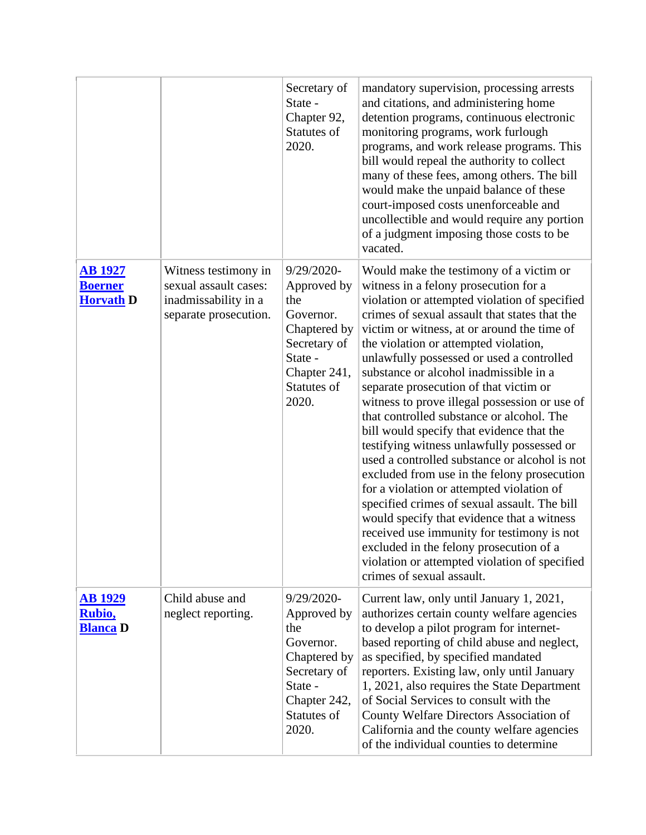|                                                      |                                                                                                | Secretary of<br>State -<br>Chapter 92,<br>Statutes of<br>2020.                                                                   | mandatory supervision, processing arrests<br>and citations, and administering home<br>detention programs, continuous electronic<br>monitoring programs, work furlough<br>programs, and work release programs. This<br>bill would repeal the authority to collect<br>many of these fees, among others. The bill<br>would make the unpaid balance of these<br>court-imposed costs unenforceable and<br>uncollectible and would require any portion<br>of a judgment imposing those costs to be<br>vacated.                                                                                                                                                                                                                                                                                                                                                                                                                                                                                                               |
|------------------------------------------------------|------------------------------------------------------------------------------------------------|----------------------------------------------------------------------------------------------------------------------------------|------------------------------------------------------------------------------------------------------------------------------------------------------------------------------------------------------------------------------------------------------------------------------------------------------------------------------------------------------------------------------------------------------------------------------------------------------------------------------------------------------------------------------------------------------------------------------------------------------------------------------------------------------------------------------------------------------------------------------------------------------------------------------------------------------------------------------------------------------------------------------------------------------------------------------------------------------------------------------------------------------------------------|
| <b>AB 1927</b><br><b>Boerner</b><br><b>Horvath D</b> | Witness testimony in<br>sexual assault cases:<br>inadmissability in a<br>separate prosecution. | 9/29/2020-<br>Approved by<br>the<br>Governor.<br>Chaptered by<br>Secretary of<br>State -<br>Chapter 241,<br>Statutes of<br>2020. | Would make the testimony of a victim or<br>witness in a felony prosecution for a<br>violation or attempted violation of specified<br>crimes of sexual assault that states that the<br>victim or witness, at or around the time of<br>the violation or attempted violation,<br>unlawfully possessed or used a controlled<br>substance or alcohol inadmissible in a<br>separate prosecution of that victim or<br>witness to prove illegal possession or use of<br>that controlled substance or alcohol. The<br>bill would specify that evidence that the<br>testifying witness unlawfully possessed or<br>used a controlled substance or alcohol is not<br>excluded from use in the felony prosecution<br>for a violation or attempted violation of<br>specified crimes of sexual assault. The bill<br>would specify that evidence that a witness<br>received use immunity for testimony is not<br>excluded in the felony prosecution of a<br>violation or attempted violation of specified<br>crimes of sexual assault. |
| <b>AB 1929</b><br>Rubio,<br><b>Blanca D</b>          | Child abuse and<br>neglect reporting.                                                          | 9/29/2020-<br>Approved by<br>the<br>Governor.<br>Chaptered by<br>Secretary of<br>State -<br>Chapter 242,<br>Statutes of<br>2020. | Current law, only until January 1, 2021,<br>authorizes certain county welfare agencies<br>to develop a pilot program for internet-<br>based reporting of child abuse and neglect,<br>as specified, by specified mandated<br>reporters. Existing law, only until January<br>1, 2021, also requires the State Department<br>of Social Services to consult with the<br>County Welfare Directors Association of<br>California and the county welfare agencies<br>of the individual counties to determine                                                                                                                                                                                                                                                                                                                                                                                                                                                                                                                   |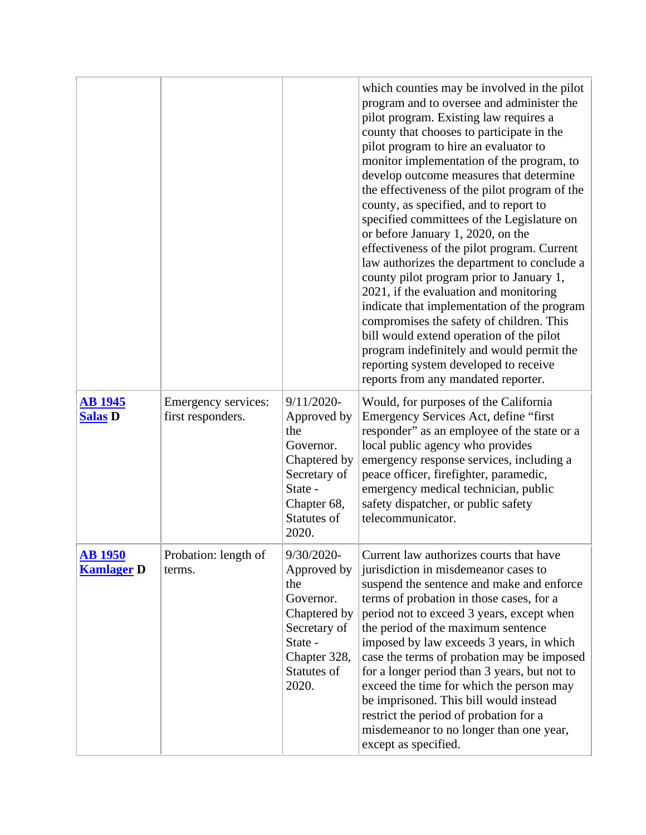|                                     |                                          |                                                                                                                                    | which counties may be involved in the pilot<br>program and to oversee and administer the<br>pilot program. Existing law requires a<br>county that chooses to participate in the<br>pilot program to hire an evaluator to<br>monitor implementation of the program, to<br>develop outcome measures that determine<br>the effectiveness of the pilot program of the<br>county, as specified, and to report to<br>specified committees of the Legislature on<br>or before January 1, 2020, on the<br>effectiveness of the pilot program. Current<br>law authorizes the department to conclude a<br>county pilot program prior to January 1,<br>2021, if the evaluation and monitoring<br>indicate that implementation of the program<br>compromises the safety of children. This<br>bill would extend operation of the pilot<br>program indefinitely and would permit the<br>reporting system developed to receive<br>reports from any mandated reporter. |
|-------------------------------------|------------------------------------------|------------------------------------------------------------------------------------------------------------------------------------|--------------------------------------------------------------------------------------------------------------------------------------------------------------------------------------------------------------------------------------------------------------------------------------------------------------------------------------------------------------------------------------------------------------------------------------------------------------------------------------------------------------------------------------------------------------------------------------------------------------------------------------------------------------------------------------------------------------------------------------------------------------------------------------------------------------------------------------------------------------------------------------------------------------------------------------------------------|
| <b>AB 1945</b><br><b>Salas D</b>    | Emergency services:<br>first responders. | $9/11/2020$ -<br>Approved by<br>the<br>Governor.<br>Chaptered by<br>Secretary of<br>State -<br>Chapter 68,<br>Statutes of<br>2020. | Would, for purposes of the California<br>Emergency Services Act, define "first<br>responder" as an employee of the state or a<br>local public agency who provides<br>emergency response services, including a<br>peace officer, firefighter, paramedic,<br>emergency medical technician, public<br>safety dispatcher, or public safety<br>telecommunicator.                                                                                                                                                                                                                                                                                                                                                                                                                                                                                                                                                                                            |
| <b>AB 1950</b><br><b>Kamlager D</b> | Probation: length of<br>terms.           | 9/30/2020-<br>Approved by<br>the<br>Governor.<br>Chaptered by<br>Secretary of<br>State -<br>Chapter 328,<br>Statutes of<br>2020.   | Current law authorizes courts that have<br>jurisdiction in misdemeanor cases to<br>suspend the sentence and make and enforce<br>terms of probation in those cases, for a<br>period not to exceed 3 years, except when<br>the period of the maximum sentence<br>imposed by law exceeds 3 years, in which<br>case the terms of probation may be imposed<br>for a longer period than 3 years, but not to<br>exceed the time for which the person may<br>be imprisoned. This bill would instead<br>restrict the period of probation for a<br>misdemeanor to no longer than one year,<br>except as specified.                                                                                                                                                                                                                                                                                                                                               |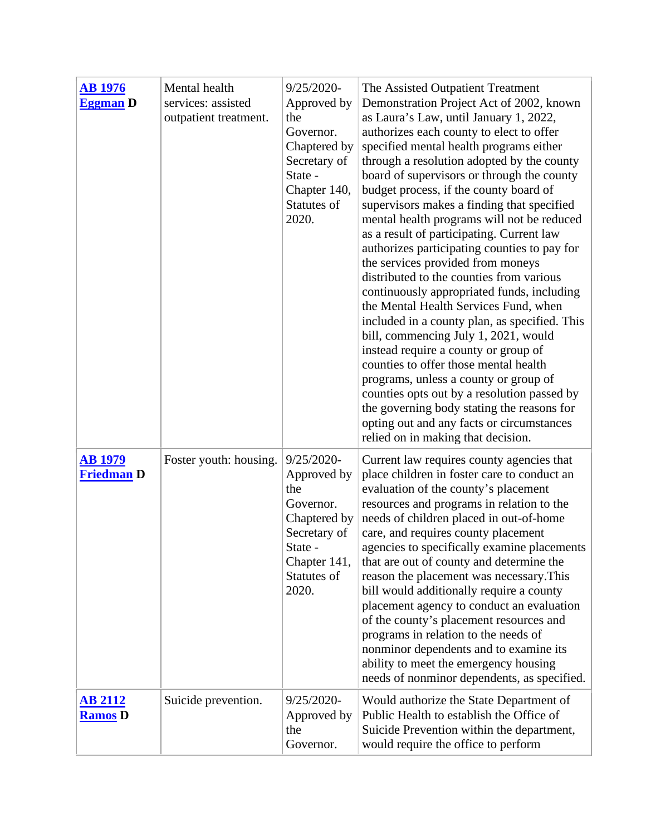| <b>AB</b> 1976<br><b>Eggman</b> D   | Mental health<br>services: assisted<br>outpatient treatment. | $9/25/2020$ -<br>Approved by<br>the<br>Governor.<br>Chaptered by<br>Secretary of<br>State -<br>Chapter 140,<br>Statutes of<br>2020. | The Assisted Outpatient Treatment<br>Demonstration Project Act of 2002, known<br>as Laura's Law, until January 1, 2022,<br>authorizes each county to elect to offer<br>specified mental health programs either<br>through a resolution adopted by the county<br>board of supervisors or through the county<br>budget process, if the county board of<br>supervisors makes a finding that specified<br>mental health programs will not be reduced<br>as a result of participating. Current law<br>authorizes participating counties to pay for<br>the services provided from moneys<br>distributed to the counties from various<br>continuously appropriated funds, including<br>the Mental Health Services Fund, when<br>included in a county plan, as specified. This<br>bill, commencing July 1, 2021, would<br>instead require a county or group of<br>counties to offer those mental health<br>programs, unless a county or group of<br>counties opts out by a resolution passed by<br>the governing body stating the reasons for<br>opting out and any facts or circumstances<br>relied on in making that decision. |
|-------------------------------------|--------------------------------------------------------------|-------------------------------------------------------------------------------------------------------------------------------------|--------------------------------------------------------------------------------------------------------------------------------------------------------------------------------------------------------------------------------------------------------------------------------------------------------------------------------------------------------------------------------------------------------------------------------------------------------------------------------------------------------------------------------------------------------------------------------------------------------------------------------------------------------------------------------------------------------------------------------------------------------------------------------------------------------------------------------------------------------------------------------------------------------------------------------------------------------------------------------------------------------------------------------------------------------------------------------------------------------------------------|
| <b>AB 1979</b><br><b>Friedman D</b> | Foster youth: housing.                                       | $9/25/2020$ -<br>Approved by<br>the<br>Governor.<br>Chaptered by<br>Secretary of<br>State -<br>Chapter 141,<br>Statutes of<br>2020. | Current law requires county agencies that<br>place children in foster care to conduct an<br>evaluation of the county's placement<br>resources and programs in relation to the<br>needs of children placed in out-of-home<br>care, and requires county placement<br>agencies to specifically examine placements<br>that are out of county and determine the<br>reason the placement was necessary. This<br>bill would additionally require a county<br>placement agency to conduct an evaluation<br>of the county's placement resources and<br>programs in relation to the needs of<br>nonminor dependents and to examine its<br>ability to meet the emergency housing<br>needs of nonminor dependents, as specified.                                                                                                                                                                                                                                                                                                                                                                                                     |
| <b>AB 2112</b><br><b>Ramos</b> D    | Suicide prevention.                                          | 9/25/2020-<br>Approved by<br>the<br>Governor.                                                                                       | Would authorize the State Department of<br>Public Health to establish the Office of<br>Suicide Prevention within the department,<br>would require the office to perform                                                                                                                                                                                                                                                                                                                                                                                                                                                                                                                                                                                                                                                                                                                                                                                                                                                                                                                                                  |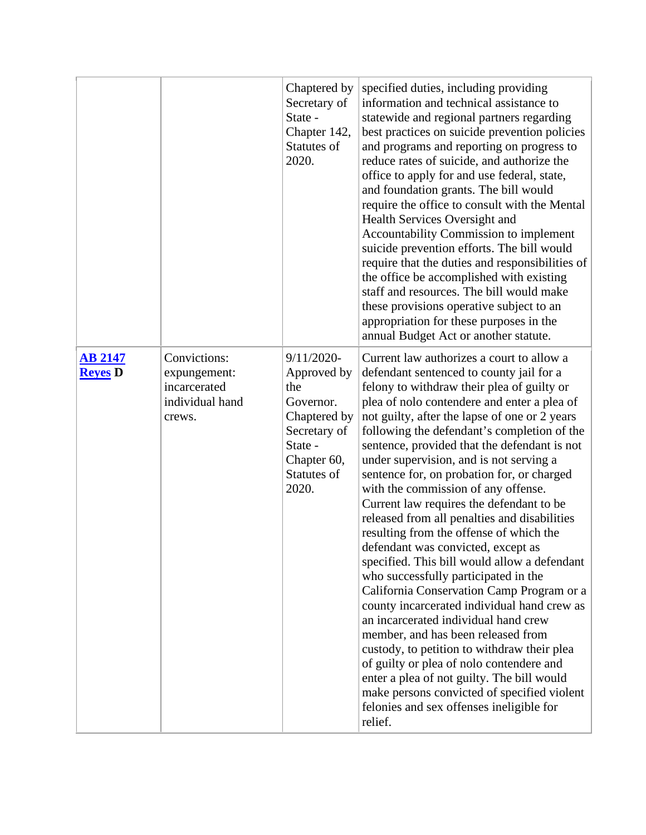|                                  |                                                                           | Chaptered by<br>Secretary of<br>State -<br>Chapter 142,<br>Statutes of<br>2020.                                                    | specified duties, including providing<br>information and technical assistance to<br>statewide and regional partners regarding<br>best practices on suicide prevention policies<br>and programs and reporting on progress to<br>reduce rates of suicide, and authorize the<br>office to apply for and use federal, state,<br>and foundation grants. The bill would<br>require the office to consult with the Mental<br>Health Services Oversight and<br>Accountability Commission to implement<br>suicide prevention efforts. The bill would<br>require that the duties and responsibilities of<br>the office be accomplished with existing<br>staff and resources. The bill would make<br>these provisions operative subject to an<br>appropriation for these purposes in the<br>annual Budget Act or another statute.                                                                                                                                                                                                                                                                                                                                           |
|----------------------------------|---------------------------------------------------------------------------|------------------------------------------------------------------------------------------------------------------------------------|------------------------------------------------------------------------------------------------------------------------------------------------------------------------------------------------------------------------------------------------------------------------------------------------------------------------------------------------------------------------------------------------------------------------------------------------------------------------------------------------------------------------------------------------------------------------------------------------------------------------------------------------------------------------------------------------------------------------------------------------------------------------------------------------------------------------------------------------------------------------------------------------------------------------------------------------------------------------------------------------------------------------------------------------------------------------------------------------------------------------------------------------------------------|
| <b>AB 2147</b><br><b>Reyes</b> D | Convictions:<br>expungement:<br>incarcerated<br>individual hand<br>crews. | $9/11/2020$ -<br>Approved by<br>the<br>Governor.<br>Chaptered by<br>Secretary of<br>State -<br>Chapter 60,<br>Statutes of<br>2020. | Current law authorizes a court to allow a<br>defendant sentenced to county jail for a<br>felony to withdraw their plea of guilty or<br>plea of nolo contendere and enter a plea of<br>not guilty, after the lapse of one or 2 years<br>following the defendant's completion of the<br>sentence, provided that the defendant is not<br>under supervision, and is not serving a<br>sentence for, on probation for, or charged<br>with the commission of any offense.<br>Current law requires the defendant to be<br>released from all penalties and disabilities<br>resulting from the offense of which the<br>defendant was convicted, except as<br>specified. This bill would allow a defendant<br>who successfully participated in the<br>California Conservation Camp Program or a<br>county incarcerated individual hand crew as<br>an incarcerated individual hand crew<br>member, and has been released from<br>custody, to petition to withdraw their plea<br>of guilty or plea of nolo contendere and<br>enter a plea of not guilty. The bill would<br>make persons convicted of specified violent<br>felonies and sex offenses ineligible for<br>relief. |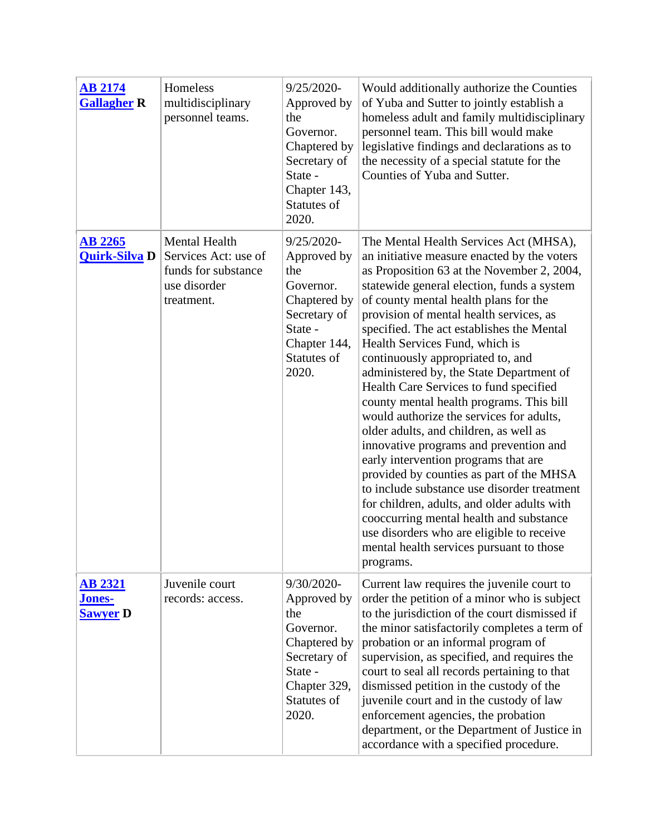| <b>AB 2174</b><br><b>Gallagher R</b>        | Homeless<br>multidisciplinary<br>personnel teams.                                                 | $9/25/2020$ -<br>Approved by<br>the<br>Governor.<br>Chaptered by<br>Secretary of<br>State -<br>Chapter 143,<br>Statutes of<br>2020. | Would additionally authorize the Counties<br>of Yuba and Sutter to jointly establish a<br>homeless adult and family multidisciplinary<br>personnel team. This bill would make<br>legislative findings and declarations as to<br>the necessity of a special statute for the<br>Counties of Yuba and Sutter.                                                                                                                                                                                                                                                                                                                                                                                                                                                                                                                                                                                                                                                                                     |
|---------------------------------------------|---------------------------------------------------------------------------------------------------|-------------------------------------------------------------------------------------------------------------------------------------|------------------------------------------------------------------------------------------------------------------------------------------------------------------------------------------------------------------------------------------------------------------------------------------------------------------------------------------------------------------------------------------------------------------------------------------------------------------------------------------------------------------------------------------------------------------------------------------------------------------------------------------------------------------------------------------------------------------------------------------------------------------------------------------------------------------------------------------------------------------------------------------------------------------------------------------------------------------------------------------------|
| <b>AB 2265</b><br><b>Quirk-Silva D</b>      | <b>Mental Health</b><br>Services Act: use of<br>funds for substance<br>use disorder<br>treatment. | $9/25/2020$ -<br>Approved by<br>the<br>Governor.<br>Chaptered by<br>Secretary of<br>State -<br>Chapter 144,<br>Statutes of<br>2020. | The Mental Health Services Act (MHSA),<br>an initiative measure enacted by the voters<br>as Proposition 63 at the November 2, 2004,<br>statewide general election, funds a system<br>of county mental health plans for the<br>provision of mental health services, as<br>specified. The act establishes the Mental<br>Health Services Fund, which is<br>continuously appropriated to, and<br>administered by, the State Department of<br>Health Care Services to fund specified<br>county mental health programs. This bill<br>would authorize the services for adults,<br>older adults, and children, as well as<br>innovative programs and prevention and<br>early intervention programs that are<br>provided by counties as part of the MHSA<br>to include substance use disorder treatment<br>for children, adults, and older adults with<br>cooccurring mental health and substance<br>use disorders who are eligible to receive<br>mental health services pursuant to those<br>programs. |
| <b>AB 2321</b><br>Jones-<br><b>Sawyer D</b> | Juvenile court<br>records: access.                                                                | 9/30/2020-<br>Approved by<br>the<br>Governor.<br>Chaptered by<br>Secretary of<br>State -<br>Chapter 329,<br>Statutes of<br>2020.    | Current law requires the juvenile court to<br>order the petition of a minor who is subject<br>to the jurisdiction of the court dismissed if<br>the minor satisfactorily completes a term of<br>probation or an informal program of<br>supervision, as specified, and requires the<br>court to seal all records pertaining to that<br>dismissed petition in the custody of the<br>juvenile court and in the custody of law<br>enforcement agencies, the probation<br>department, or the Department of Justice in<br>accordance with a specified procedure.                                                                                                                                                                                                                                                                                                                                                                                                                                      |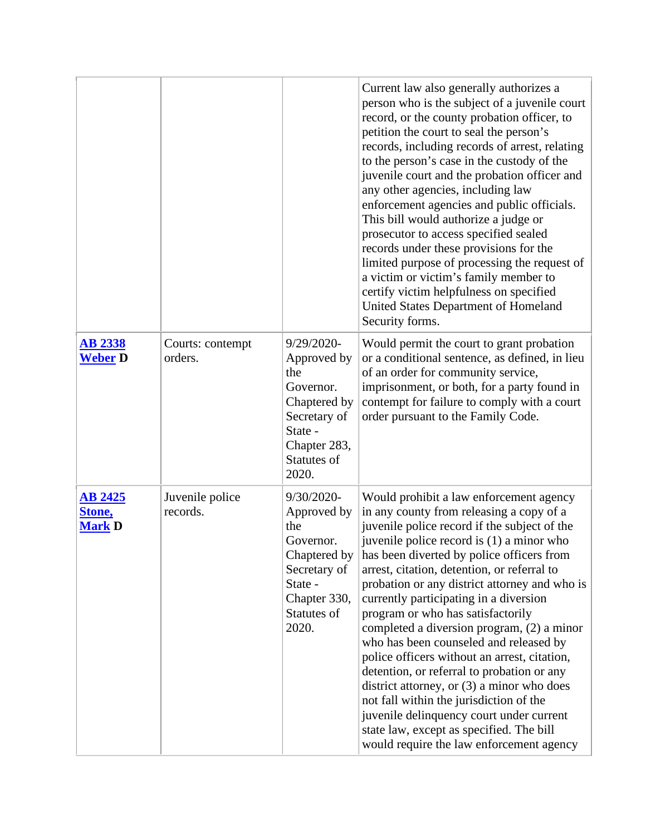|                                           |                             |                                                                                                                                     | Current law also generally authorizes a<br>person who is the subject of a juvenile court<br>record, or the county probation officer, to<br>petition the court to seal the person's<br>records, including records of arrest, relating<br>to the person's case in the custody of the<br>juvenile court and the probation officer and<br>any other agencies, including law<br>enforcement agencies and public officials.<br>This bill would authorize a judge or<br>prosecutor to access specified sealed<br>records under these provisions for the<br>limited purpose of processing the request of<br>a victim or victim's family member to<br>certify victim helpfulness on specified<br>United States Department of Homeland<br>Security forms.                                                                                 |
|-------------------------------------------|-----------------------------|-------------------------------------------------------------------------------------------------------------------------------------|---------------------------------------------------------------------------------------------------------------------------------------------------------------------------------------------------------------------------------------------------------------------------------------------------------------------------------------------------------------------------------------------------------------------------------------------------------------------------------------------------------------------------------------------------------------------------------------------------------------------------------------------------------------------------------------------------------------------------------------------------------------------------------------------------------------------------------|
| <b>AB 2338</b><br><b>Weber D</b>          | Courts: contempt<br>orders. | 9/29/2020-<br>Approved by<br>the<br>Governor.<br>Chaptered by<br>Secretary of<br>State -<br>Chapter 283,<br>Statutes of<br>2020.    | Would permit the court to grant probation<br>or a conditional sentence, as defined, in lieu<br>of an order for community service,<br>imprisonment, or both, for a party found in<br>contempt for failure to comply with a court<br>order pursuant to the Family Code.                                                                                                                                                                                                                                                                                                                                                                                                                                                                                                                                                           |
| <b>AB 2425</b><br>Stone,<br><b>Mark D</b> | Juvenile police<br>records. | $9/30/2020$ -<br>Approved by<br>the<br>Governor.<br>Chaptered by<br>Secretary of<br>State -<br>Chapter 330,<br>Statutes of<br>2020. | Would prohibit a law enforcement agency<br>in any county from releasing a copy of a<br>juvenile police record if the subject of the<br>juvenile police record is (1) a minor who<br>has been diverted by police officers from<br>arrest, citation, detention, or referral to<br>probation or any district attorney and who is<br>currently participating in a diversion<br>program or who has satisfactorily<br>completed a diversion program, (2) a minor<br>who has been counseled and released by<br>police officers without an arrest, citation,<br>detention, or referral to probation or any<br>district attorney, or (3) a minor who does<br>not fall within the jurisdiction of the<br>juvenile delinquency court under current<br>state law, except as specified. The bill<br>would require the law enforcement agency |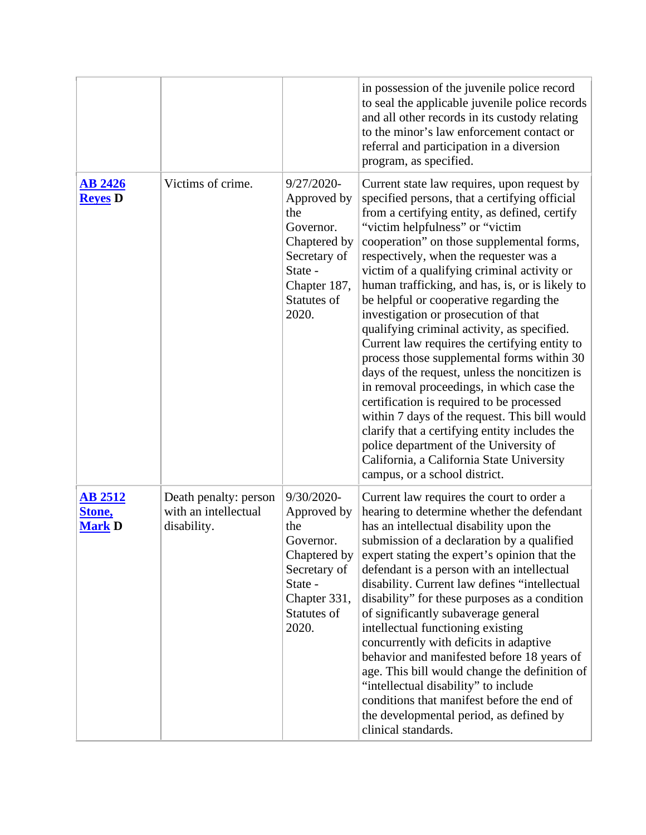|                                           |                                                              |                                                                                                                                     | in possession of the juvenile police record<br>to seal the applicable juvenile police records<br>and all other records in its custody relating<br>to the minor's law enforcement contact or<br>referral and participation in a diversion<br>program, as specified.                                                                                                                                                                                                                                                                                                                                                                                                                                                                                                                                                                                                                                                                                                               |
|-------------------------------------------|--------------------------------------------------------------|-------------------------------------------------------------------------------------------------------------------------------------|----------------------------------------------------------------------------------------------------------------------------------------------------------------------------------------------------------------------------------------------------------------------------------------------------------------------------------------------------------------------------------------------------------------------------------------------------------------------------------------------------------------------------------------------------------------------------------------------------------------------------------------------------------------------------------------------------------------------------------------------------------------------------------------------------------------------------------------------------------------------------------------------------------------------------------------------------------------------------------|
| <b>AB 2426</b><br><b>Reyes</b> D          | Victims of crime.                                            | $9/27/2020$ -<br>Approved by<br>the<br>Governor.<br>Chaptered by<br>Secretary of<br>State -<br>Chapter 187,<br>Statutes of<br>2020. | Current state law requires, upon request by<br>specified persons, that a certifying official<br>from a certifying entity, as defined, certify<br>"victim helpfulness" or "victim"<br>cooperation" on those supplemental forms,<br>respectively, when the requester was a<br>victim of a qualifying criminal activity or<br>human trafficking, and has, is, or is likely to<br>be helpful or cooperative regarding the<br>investigation or prosecution of that<br>qualifying criminal activity, as specified.<br>Current law requires the certifying entity to<br>process those supplemental forms within 30<br>days of the request, unless the noncitizen is<br>in removal proceedings, in which case the<br>certification is required to be processed<br>within 7 days of the request. This bill would<br>clarify that a certifying entity includes the<br>police department of the University of<br>California, a California State University<br>campus, or a school district. |
| <b>AB 2512</b><br>Stone,<br><b>Mark D</b> | Death penalty: person<br>with an intellectual<br>disability. | $9/30/2020$ -<br>Approved by<br>the<br>Governor.<br>Chaptered by<br>Secretary of<br>State -<br>Chapter 331,<br>Statutes of<br>2020. | Current law requires the court to order a<br>hearing to determine whether the defendant<br>has an intellectual disability upon the<br>submission of a declaration by a qualified<br>expert stating the expert's opinion that the<br>defendant is a person with an intellectual<br>disability. Current law defines "intellectual<br>disability" for these purposes as a condition<br>of significantly subaverage general<br>intellectual functioning existing<br>concurrently with deficits in adaptive<br>behavior and manifested before 18 years of<br>age. This bill would change the definition of<br>"intellectual disability" to include<br>conditions that manifest before the end of<br>the developmental period, as defined by<br>clinical standards.                                                                                                                                                                                                                    |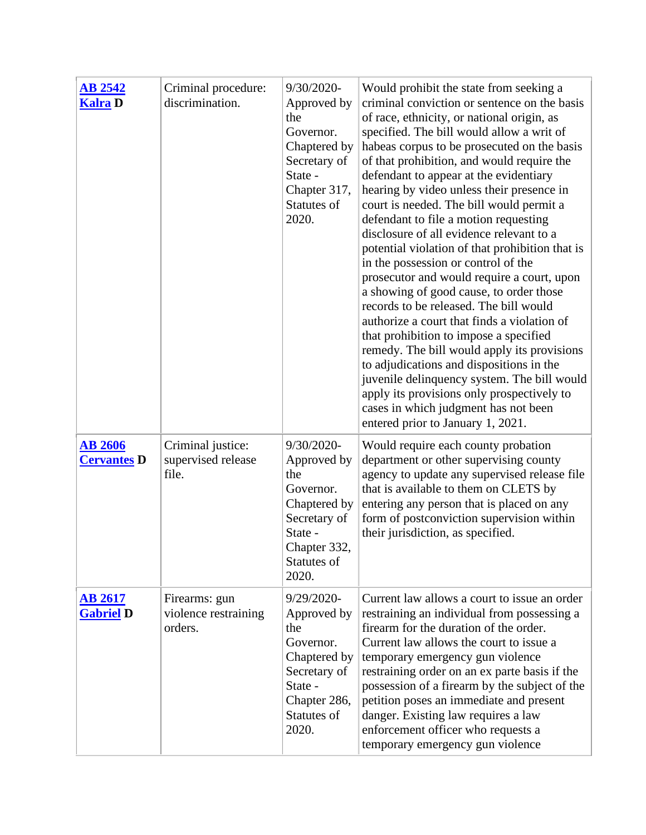| <b>AB 2542</b><br><b>Kalra D</b>     | Criminal procedure:<br>discrimination.           | 9/30/2020-<br>Approved by<br>the<br>Governor.<br>Chaptered by<br>Secretary of<br>State -<br>Chapter 317,<br>Statutes of<br>2020. | Would prohibit the state from seeking a<br>criminal conviction or sentence on the basis<br>of race, ethnicity, or national origin, as<br>specified. The bill would allow a writ of<br>habeas corpus to be prosecuted on the basis<br>of that prohibition, and would require the<br>defendant to appear at the evidentiary<br>hearing by video unless their presence in<br>court is needed. The bill would permit a<br>defendant to file a motion requesting<br>disclosure of all evidence relevant to a<br>potential violation of that prohibition that is<br>in the possession or control of the<br>prosecutor and would require a court, upon<br>a showing of good cause, to order those<br>records to be released. The bill would<br>authorize a court that finds a violation of<br>that prohibition to impose a specified<br>remedy. The bill would apply its provisions<br>to adjudications and dispositions in the<br>juvenile delinquency system. The bill would<br>apply its provisions only prospectively to |
|--------------------------------------|--------------------------------------------------|----------------------------------------------------------------------------------------------------------------------------------|-----------------------------------------------------------------------------------------------------------------------------------------------------------------------------------------------------------------------------------------------------------------------------------------------------------------------------------------------------------------------------------------------------------------------------------------------------------------------------------------------------------------------------------------------------------------------------------------------------------------------------------------------------------------------------------------------------------------------------------------------------------------------------------------------------------------------------------------------------------------------------------------------------------------------------------------------------------------------------------------------------------------------|
|                                      |                                                  |                                                                                                                                  | cases in which judgment has not been<br>entered prior to January 1, 2021.                                                                                                                                                                                                                                                                                                                                                                                                                                                                                                                                                                                                                                                                                                                                                                                                                                                                                                                                             |
| <b>AB 2606</b><br><b>Cervantes D</b> | Criminal justice:<br>supervised release<br>file. | 9/30/2020-<br>Approved by<br>the<br>Governor.<br>Chaptered by<br>Secretary of<br>State -<br>Chapter 332,<br>Statutes of<br>2020. | Would require each county probation<br>department or other supervising county<br>agency to update any supervised release file<br>that is available to them on CLETS by<br>entering any person that is placed on any<br>form of postconviction supervision within<br>their jurisdiction, as specified.                                                                                                                                                                                                                                                                                                                                                                                                                                                                                                                                                                                                                                                                                                                 |
| <u>AB 2617</u><br><b>Gabriel D</b>   | Firearms: gun<br>violence restraining<br>orders. | 9/29/2020-<br>Approved by<br>the<br>Governor.<br>Chaptered by<br>Secretary of<br>State -<br>Chapter 286,<br>Statutes of<br>2020. | Current law allows a court to issue an order<br>restraining an individual from possessing a<br>firearm for the duration of the order.<br>Current law allows the court to issue a<br>temporary emergency gun violence<br>restraining order on an ex parte basis if the<br>possession of a firearm by the subject of the<br>petition poses an immediate and present<br>danger. Existing law requires a law<br>enforcement officer who requests a<br>temporary emergency gun violence                                                                                                                                                                                                                                                                                                                                                                                                                                                                                                                                    |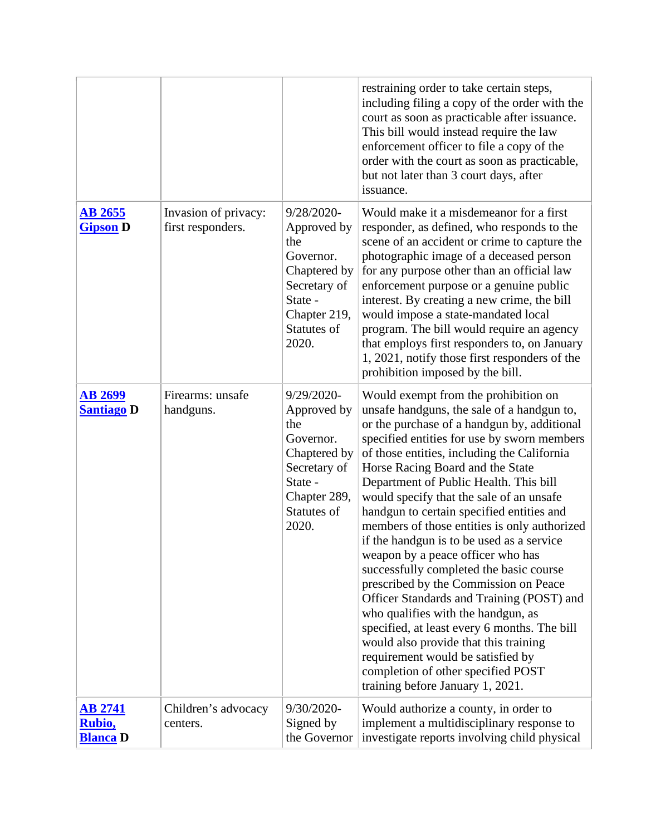|                                             |                                           |                                                                                                                                  | restraining order to take certain steps,<br>including filing a copy of the order with the<br>court as soon as practicable after issuance.<br>This bill would instead require the law<br>enforcement officer to file a copy of the<br>order with the court as soon as practicable,<br>but not later than 3 court days, after<br>issuance.                                                                                                                                                                                                                                                                                                                                                                                                                                                                                                                                                                                |
|---------------------------------------------|-------------------------------------------|----------------------------------------------------------------------------------------------------------------------------------|-------------------------------------------------------------------------------------------------------------------------------------------------------------------------------------------------------------------------------------------------------------------------------------------------------------------------------------------------------------------------------------------------------------------------------------------------------------------------------------------------------------------------------------------------------------------------------------------------------------------------------------------------------------------------------------------------------------------------------------------------------------------------------------------------------------------------------------------------------------------------------------------------------------------------|
| <b>AB 2655</b><br><b>Gipson D</b>           | Invasion of privacy:<br>first responders. | 9/28/2020-<br>Approved by<br>the<br>Governor.<br>Chaptered by<br>Secretary of<br>State -<br>Chapter 219,<br>Statutes of<br>2020. | Would make it a misdemeanor for a first<br>responder, as defined, who responds to the<br>scene of an accident or crime to capture the<br>photographic image of a deceased person<br>for any purpose other than an official law<br>enforcement purpose or a genuine public<br>interest. By creating a new crime, the bill<br>would impose a state-mandated local<br>program. The bill would require an agency<br>that employs first responders to, on January<br>1, 2021, notify those first responders of the<br>prohibition imposed by the bill.                                                                                                                                                                                                                                                                                                                                                                       |
| <b>AB 2699</b><br><b>Santiago D</b>         | Firearms: unsafe<br>handguns.             | 9/29/2020-<br>Approved by<br>the<br>Governor.<br>Chaptered by<br>Secretary of<br>State -<br>Chapter 289,<br>Statutes of<br>2020. | Would exempt from the prohibition on<br>unsafe handguns, the sale of a handgun to,<br>or the purchase of a handgun by, additional<br>specified entities for use by sworn members<br>of those entities, including the California<br>Horse Racing Board and the State<br>Department of Public Health. This bill<br>would specify that the sale of an unsafe<br>handgun to certain specified entities and<br>members of those entities is only authorized<br>if the handgun is to be used as a service<br>weapon by a peace officer who has<br>successfully completed the basic course<br>prescribed by the Commission on Peace<br>Officer Standards and Training (POST) and<br>who qualifies with the handgun, as<br>specified, at least every 6 months. The bill<br>would also provide that this training<br>requirement would be satisfied by<br>completion of other specified POST<br>training before January 1, 2021. |
| <b>AB 2741</b><br>Rubio,<br><b>Blanca</b> D | Children's advocacy<br>centers.           | 9/30/2020-<br>Signed by<br>the Governor                                                                                          | Would authorize a county, in order to<br>implement a multidisciplinary response to<br>investigate reports involving child physical                                                                                                                                                                                                                                                                                                                                                                                                                                                                                                                                                                                                                                                                                                                                                                                      |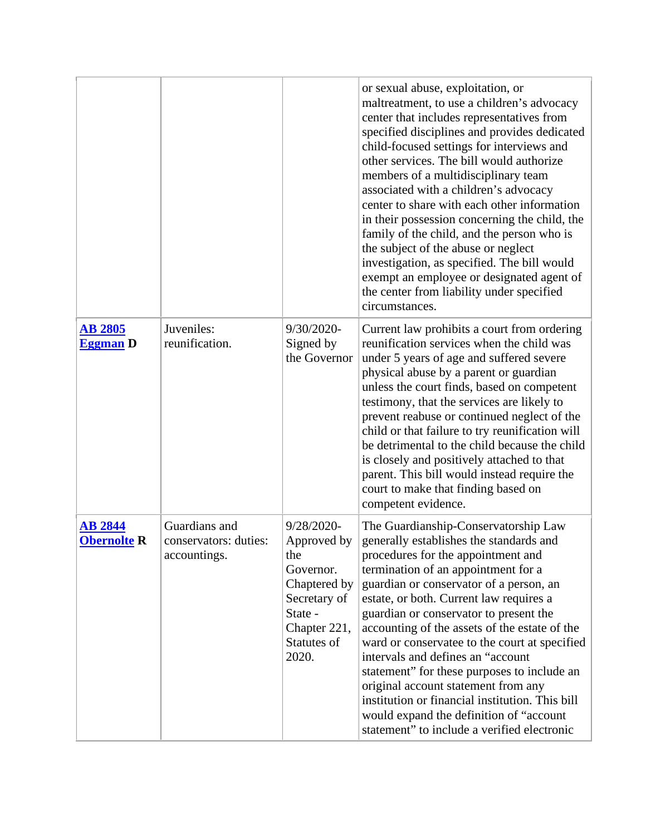|                                      |                                                        |                                                                                                                                  | or sexual abuse, exploitation, or<br>maltreatment, to use a children's advocacy<br>center that includes representatives from<br>specified disciplines and provides dedicated<br>child-focused settings for interviews and<br>other services. The bill would authorize<br>members of a multidisciplinary team<br>associated with a children's advocacy<br>center to share with each other information<br>in their possession concerning the child, the<br>family of the child, and the person who is<br>the subject of the abuse or neglect<br>investigation, as specified. The bill would<br>exempt an employee or designated agent of<br>the center from liability under specified<br>circumstances. |
|--------------------------------------|--------------------------------------------------------|----------------------------------------------------------------------------------------------------------------------------------|-------------------------------------------------------------------------------------------------------------------------------------------------------------------------------------------------------------------------------------------------------------------------------------------------------------------------------------------------------------------------------------------------------------------------------------------------------------------------------------------------------------------------------------------------------------------------------------------------------------------------------------------------------------------------------------------------------|
| <b>AB 2805</b><br><b>Eggman</b> D    | Juveniles:<br>reunification.                           | 9/30/2020-<br>Signed by<br>the Governor                                                                                          | Current law prohibits a court from ordering<br>reunification services when the child was<br>under 5 years of age and suffered severe<br>physical abuse by a parent or guardian<br>unless the court finds, based on competent<br>testimony, that the services are likely to<br>prevent reabuse or continued neglect of the<br>child or that failure to try reunification will<br>be detrimental to the child because the child<br>is closely and positively attached to that<br>parent. This bill would instead require the<br>court to make that finding based on<br>competent evidence.                                                                                                              |
| <b>AB 2844</b><br><b>Obernolte R</b> | Guardians and<br>conservators: duties:<br>accountings. | 9/28/2020-<br>Approved by<br>the<br>Governor.<br>Chaptered by<br>Secretary of<br>State -<br>Chapter 221,<br>Statutes of<br>2020. | The Guardianship-Conservatorship Law<br>generally establishes the standards and<br>procedures for the appointment and<br>termination of an appointment for a<br>guardian or conservator of a person, an<br>estate, or both. Current law requires a<br>guardian or conservator to present the<br>accounting of the assets of the estate of the<br>ward or conservatee to the court at specified<br>intervals and defines an "account<br>statement" for these purposes to include an<br>original account statement from any<br>institution or financial institution. This bill<br>would expand the definition of "account<br>statement" to include a verified electronic                                |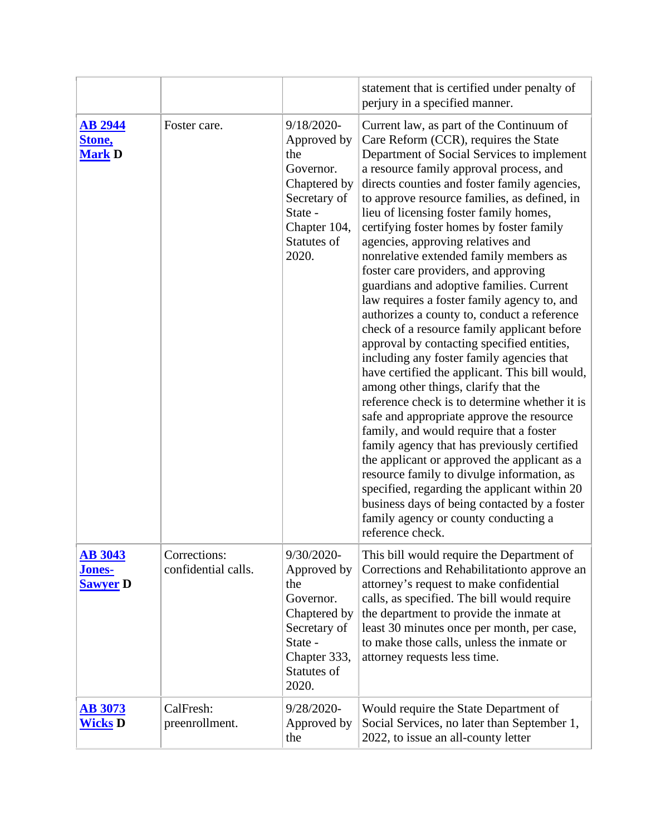|                                                    |                                     |                                                                                                                                  | statement that is certified under penalty of<br>perjury in a specified manner.                                                                                                                                                                                                                                                                                                                                                                                                                                                                                                                                                                                                                                                                                                                                                                                                                                                                                                                                                                                                                                                                                                                                                                                                                                          |
|----------------------------------------------------|-------------------------------------|----------------------------------------------------------------------------------------------------------------------------------|-------------------------------------------------------------------------------------------------------------------------------------------------------------------------------------------------------------------------------------------------------------------------------------------------------------------------------------------------------------------------------------------------------------------------------------------------------------------------------------------------------------------------------------------------------------------------------------------------------------------------------------------------------------------------------------------------------------------------------------------------------------------------------------------------------------------------------------------------------------------------------------------------------------------------------------------------------------------------------------------------------------------------------------------------------------------------------------------------------------------------------------------------------------------------------------------------------------------------------------------------------------------------------------------------------------------------|
| <b>AB 2944</b><br>Stone,<br><b>Mark D</b>          | Foster care.                        | 9/18/2020-<br>Approved by<br>the<br>Governor.<br>Chaptered by<br>Secretary of<br>State -<br>Chapter 104,<br>Statutes of<br>2020. | Current law, as part of the Continuum of<br>Care Reform (CCR), requires the State<br>Department of Social Services to implement<br>a resource family approval process, and<br>directs counties and foster family agencies,<br>to approve resource families, as defined, in<br>lieu of licensing foster family homes,<br>certifying foster homes by foster family<br>agencies, approving relatives and<br>nonrelative extended family members as<br>foster care providers, and approving<br>guardians and adoptive families. Current<br>law requires a foster family agency to, and<br>authorizes a county to, conduct a reference<br>check of a resource family applicant before<br>approval by contacting specified entities,<br>including any foster family agencies that<br>have certified the applicant. This bill would,<br>among other things, clarify that the<br>reference check is to determine whether it is<br>safe and appropriate approve the resource<br>family, and would require that a foster<br>family agency that has previously certified<br>the applicant or approved the applicant as a<br>resource family to divulge information, as<br>specified, regarding the applicant within 20<br>business days of being contacted by a foster<br>family agency or county conducting a<br>reference check. |
| <b>AB 3043</b><br><u>Jones-</u><br><b>Sawyer D</b> | Corrections:<br>confidential calls. | 9/30/2020-<br>Approved by<br>the<br>Governor.<br>Chaptered by<br>Secretary of<br>State -<br>Chapter 333,<br>Statutes of<br>2020. | This bill would require the Department of<br>Corrections and Rehabilitation to approve an<br>attorney's request to make confidential<br>calls, as specified. The bill would require<br>the department to provide the inmate at<br>least 30 minutes once per month, per case,<br>to make those calls, unless the inmate or<br>attorney requests less time.                                                                                                                                                                                                                                                                                                                                                                                                                                                                                                                                                                                                                                                                                                                                                                                                                                                                                                                                                               |
| <u>AB 3073</u><br><b>Wicks D</b>                   | CalFresh:<br>preenrollment.         | 9/28/2020-<br>Approved by<br>the                                                                                                 | Would require the State Department of<br>Social Services, no later than September 1,<br>2022, to issue an all-county letter                                                                                                                                                                                                                                                                                                                                                                                                                                                                                                                                                                                                                                                                                                                                                                                                                                                                                                                                                                                                                                                                                                                                                                                             |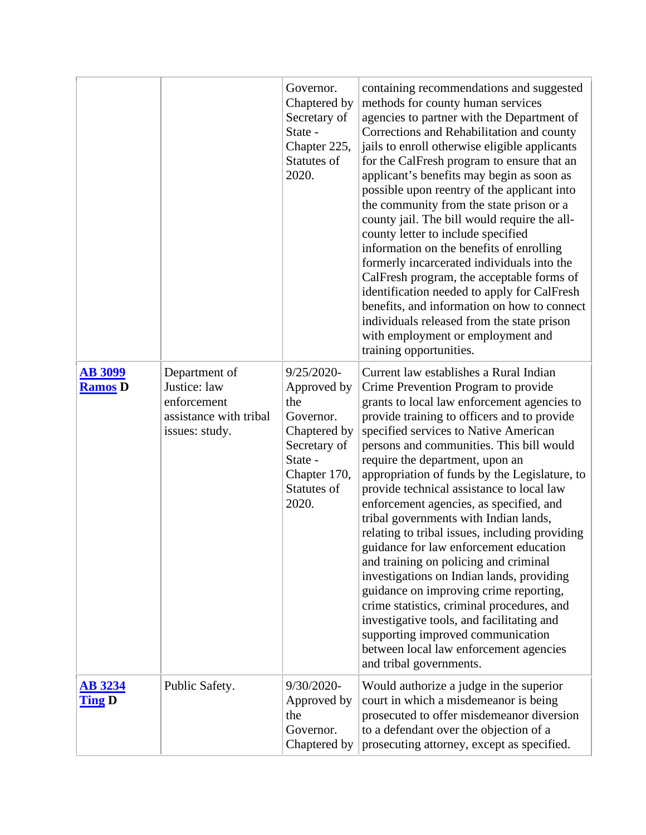|                                  |                                                                                          | Governor.<br>Chaptered by<br>Secretary of<br>State -<br>Chapter 225,<br>Statutes of<br>2020.                                        | containing recommendations and suggested<br>methods for county human services<br>agencies to partner with the Department of<br>Corrections and Rehabilitation and county<br>jails to enroll otherwise eligible applicants<br>for the CalFresh program to ensure that an<br>applicant's benefits may begin as soon as<br>possible upon reentry of the applicant into<br>the community from the state prison or a<br>county jail. The bill would require the all-<br>county letter to include specified<br>information on the benefits of enrolling<br>formerly incarcerated individuals into the<br>CalFresh program, the acceptable forms of<br>identification needed to apply for CalFresh<br>benefits, and information on how to connect<br>individuals released from the state prison<br>with employment or employment and<br>training opportunities.                                                               |
|----------------------------------|------------------------------------------------------------------------------------------|-------------------------------------------------------------------------------------------------------------------------------------|------------------------------------------------------------------------------------------------------------------------------------------------------------------------------------------------------------------------------------------------------------------------------------------------------------------------------------------------------------------------------------------------------------------------------------------------------------------------------------------------------------------------------------------------------------------------------------------------------------------------------------------------------------------------------------------------------------------------------------------------------------------------------------------------------------------------------------------------------------------------------------------------------------------------|
| <b>AB 3099</b><br><b>Ramos</b> D | Department of<br>Justice: law<br>enforcement<br>assistance with tribal<br>issues: study. | $9/25/2020$ -<br>Approved by<br>the<br>Governor.<br>Chaptered by<br>Secretary of<br>State -<br>Chapter 170,<br>Statutes of<br>2020. | Current law establishes a Rural Indian<br>Crime Prevention Program to provide<br>grants to local law enforcement agencies to<br>provide training to officers and to provide<br>specified services to Native American<br>persons and communities. This bill would<br>require the department, upon an<br>appropriation of funds by the Legislature, to<br>provide technical assistance to local law<br>enforcement agencies, as specified, and<br>tribal governments with Indian lands,<br>relating to tribal issues, including providing<br>guidance for law enforcement education<br>and training on policing and criminal<br>investigations on Indian lands, providing<br>guidance on improving crime reporting,<br>crime statistics, criminal procedures, and<br>investigative tools, and facilitating and<br>supporting improved communication<br>between local law enforcement agencies<br>and tribal governments. |
| <b>AB 3234</b><br><b>Ting D</b>  | Public Safety.                                                                           | 9/30/2020-<br>Approved by<br>the<br>Governor.<br>Chaptered by                                                                       | Would authorize a judge in the superior<br>court in which a misdemeanor is being<br>prosecuted to offer misdemeanor diversion<br>to a defendant over the objection of a<br>prosecuting attorney, except as specified.                                                                                                                                                                                                                                                                                                                                                                                                                                                                                                                                                                                                                                                                                                  |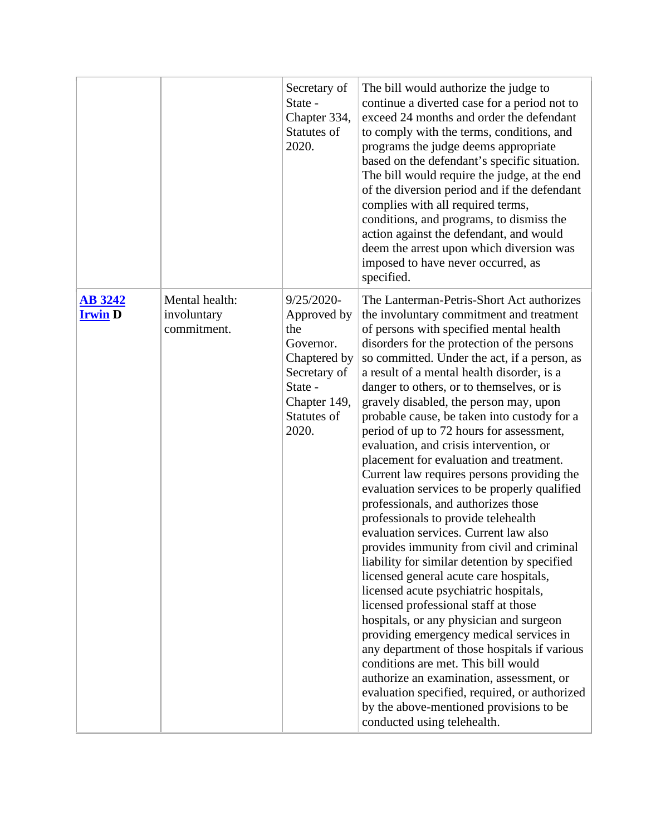|                                  |                                              | Secretary of<br>State -<br>Chapter 334,<br>Statutes of<br>2020.                                                                  | The bill would authorize the judge to<br>continue a diverted case for a period not to<br>exceed 24 months and order the defendant<br>to comply with the terms, conditions, and<br>programs the judge deems appropriate<br>based on the defendant's specific situation.<br>The bill would require the judge, at the end<br>of the diversion period and if the defendant<br>complies with all required terms,<br>conditions, and programs, to dismiss the<br>action against the defendant, and would<br>deem the arrest upon which diversion was<br>imposed to have never occurred, as<br>specified.                                                                                                                                                                                                                                                                                                                                                                                                                                                                                                                                                                                                                                                                                                                                                     |
|----------------------------------|----------------------------------------------|----------------------------------------------------------------------------------------------------------------------------------|--------------------------------------------------------------------------------------------------------------------------------------------------------------------------------------------------------------------------------------------------------------------------------------------------------------------------------------------------------------------------------------------------------------------------------------------------------------------------------------------------------------------------------------------------------------------------------------------------------------------------------------------------------------------------------------------------------------------------------------------------------------------------------------------------------------------------------------------------------------------------------------------------------------------------------------------------------------------------------------------------------------------------------------------------------------------------------------------------------------------------------------------------------------------------------------------------------------------------------------------------------------------------------------------------------------------------------------------------------|
| <b>AB 3242</b><br><b>Irwin</b> D | Mental health:<br>involuntary<br>commitment. | 9/25/2020-<br>Approved by<br>the<br>Governor.<br>Chaptered by<br>Secretary of<br>State -<br>Chapter 149,<br>Statutes of<br>2020. | The Lanterman-Petris-Short Act authorizes<br>the involuntary commitment and treatment<br>of persons with specified mental health<br>disorders for the protection of the persons<br>so committed. Under the act, if a person, as<br>a result of a mental health disorder, is a<br>danger to others, or to themselves, or is<br>gravely disabled, the person may, upon<br>probable cause, be taken into custody for a<br>period of up to 72 hours for assessment,<br>evaluation, and crisis intervention, or<br>placement for evaluation and treatment.<br>Current law requires persons providing the<br>evaluation services to be properly qualified<br>professionals, and authorizes those<br>professionals to provide telehealth<br>evaluation services. Current law also<br>provides immunity from civil and criminal<br>liability for similar detention by specified<br>licensed general acute care hospitals,<br>licensed acute psychiatric hospitals,<br>licensed professional staff at those<br>hospitals, or any physician and surgeon<br>providing emergency medical services in<br>any department of those hospitals if various<br>conditions are met. This bill would<br>authorize an examination, assessment, or<br>evaluation specified, required, or authorized<br>by the above-mentioned provisions to be<br>conducted using telehealth. |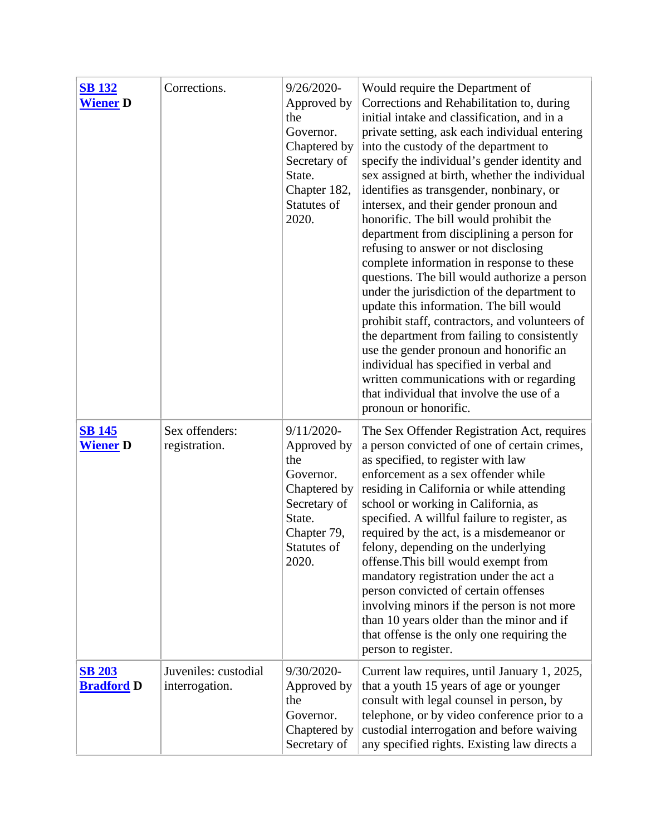| <b>SB 132</b><br><b>Wiener</b> D   | Corrections.                           | 9/26/2020-<br>Approved by<br>the<br>Governor.<br>Chaptered by<br>Secretary of<br>State.<br>Chapter 182,<br>Statutes of<br>2020. | Would require the Department of<br>Corrections and Rehabilitation to, during<br>initial intake and classification, and in a<br>private setting, ask each individual entering<br>into the custody of the department to<br>specify the individual's gender identity and<br>sex assigned at birth, whether the individual<br>identifies as transgender, nonbinary, or<br>intersex, and their gender pronoun and<br>honorific. The bill would prohibit the<br>department from disciplining a person for<br>refusing to answer or not disclosing<br>complete information in response to these<br>questions. The bill would authorize a person<br>under the jurisdiction of the department to<br>update this information. The bill would<br>prohibit staff, contractors, and volunteers of<br>the department from failing to consistently<br>use the gender pronoun and honorific an<br>individual has specified in verbal and<br>written communications with or regarding<br>that individual that involve the use of a<br>pronoun or honorific. |
|------------------------------------|----------------------------------------|---------------------------------------------------------------------------------------------------------------------------------|--------------------------------------------------------------------------------------------------------------------------------------------------------------------------------------------------------------------------------------------------------------------------------------------------------------------------------------------------------------------------------------------------------------------------------------------------------------------------------------------------------------------------------------------------------------------------------------------------------------------------------------------------------------------------------------------------------------------------------------------------------------------------------------------------------------------------------------------------------------------------------------------------------------------------------------------------------------------------------------------------------------------------------------------|
| <b>SB 145</b><br><b>Wiener</b> D   | Sex offenders:<br>registration.        | 9/11/2020-<br>Approved by<br>the<br>Governor.<br>Chaptered by<br>Secretary of<br>State.<br>Chapter 79,<br>Statutes of<br>2020.  | The Sex Offender Registration Act, requires<br>a person convicted of one of certain crimes,<br>as specified, to register with law<br>enforcement as a sex offender while<br>residing in California or while attending<br>school or working in California, as<br>specified. A willful failure to register, as<br>required by the act, is a misdemean or or<br>felony, depending on the underlying<br>offense. This bill would exempt from<br>mandatory registration under the act a<br>person convicted of certain offenses<br>involving minors if the person is not more<br>than 10 years older than the minor and if<br>that offense is the only one requiring the<br>person to register.                                                                                                                                                                                                                                                                                                                                                 |
| <b>SB 203</b><br><b>Bradford D</b> | Juveniles: custodial<br>interrogation. | 9/30/2020-<br>Approved by<br>the<br>Governor.<br>Chaptered by<br>Secretary of                                                   | Current law requires, until January 1, 2025,<br>that a youth 15 years of age or younger<br>consult with legal counsel in person, by<br>telephone, or by video conference prior to a<br>custodial interrogation and before waiving<br>any specified rights. Existing law directs a                                                                                                                                                                                                                                                                                                                                                                                                                                                                                                                                                                                                                                                                                                                                                          |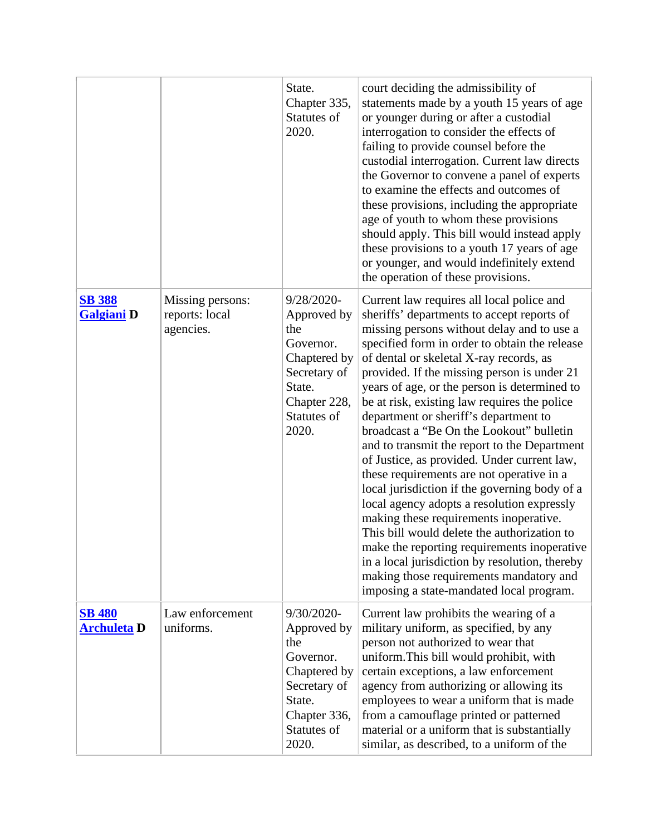|                                     |                                                 | State.<br>Chapter 335,<br>Statutes of<br>2020.                                                                                  | court deciding the admissibility of<br>statements made by a youth 15 years of age<br>or younger during or after a custodial<br>interrogation to consider the effects of<br>failing to provide counsel before the<br>custodial interrogation. Current law directs<br>the Governor to convene a panel of experts<br>to examine the effects and outcomes of<br>these provisions, including the appropriate<br>age of youth to whom these provisions<br>should apply. This bill would instead apply<br>these provisions to a youth 17 years of age<br>or younger, and would indefinitely extend<br>the operation of these provisions.                                                                                                                                                                                                                                                                                                                                                                 |
|-------------------------------------|-------------------------------------------------|---------------------------------------------------------------------------------------------------------------------------------|---------------------------------------------------------------------------------------------------------------------------------------------------------------------------------------------------------------------------------------------------------------------------------------------------------------------------------------------------------------------------------------------------------------------------------------------------------------------------------------------------------------------------------------------------------------------------------------------------------------------------------------------------------------------------------------------------------------------------------------------------------------------------------------------------------------------------------------------------------------------------------------------------------------------------------------------------------------------------------------------------|
| <b>SB 388</b><br><b>Galgiani</b> D  | Missing persons:<br>reports: local<br>agencies. | 9/28/2020-<br>Approved by<br>the<br>Governor.<br>Chaptered by<br>Secretary of<br>State.<br>Chapter 228,<br>Statutes of<br>2020. | Current law requires all local police and<br>sheriffs' departments to accept reports of<br>missing persons without delay and to use a<br>specified form in order to obtain the release<br>of dental or skeletal X-ray records, as<br>provided. If the missing person is under 21<br>years of age, or the person is determined to<br>be at risk, existing law requires the police<br>department or sheriff's department to<br>broadcast a "Be On the Lookout" bulletin<br>and to transmit the report to the Department<br>of Justice, as provided. Under current law,<br>these requirements are not operative in a<br>local jurisdiction if the governing body of a<br>local agency adopts a resolution expressly<br>making these requirements inoperative.<br>This bill would delete the authorization to<br>make the reporting requirements inoperative<br>in a local jurisdiction by resolution, thereby<br>making those requirements mandatory and<br>imposing a state-mandated local program. |
| <b>SB 480</b><br><b>Archuleta</b> D | Law enforcement<br>uniforms.                    | 9/30/2020-<br>Approved by<br>the<br>Governor.<br>Chaptered by<br>Secretary of<br>State.<br>Chapter 336,<br>Statutes of<br>2020. | Current law prohibits the wearing of a<br>military uniform, as specified, by any<br>person not authorized to wear that<br>uniform. This bill would prohibit, with<br>certain exceptions, a law enforcement<br>agency from authorizing or allowing its<br>employees to wear a uniform that is made<br>from a camouflage printed or patterned<br>material or a uniform that is substantially<br>similar, as described, to a uniform of the                                                                                                                                                                                                                                                                                                                                                                                                                                                                                                                                                          |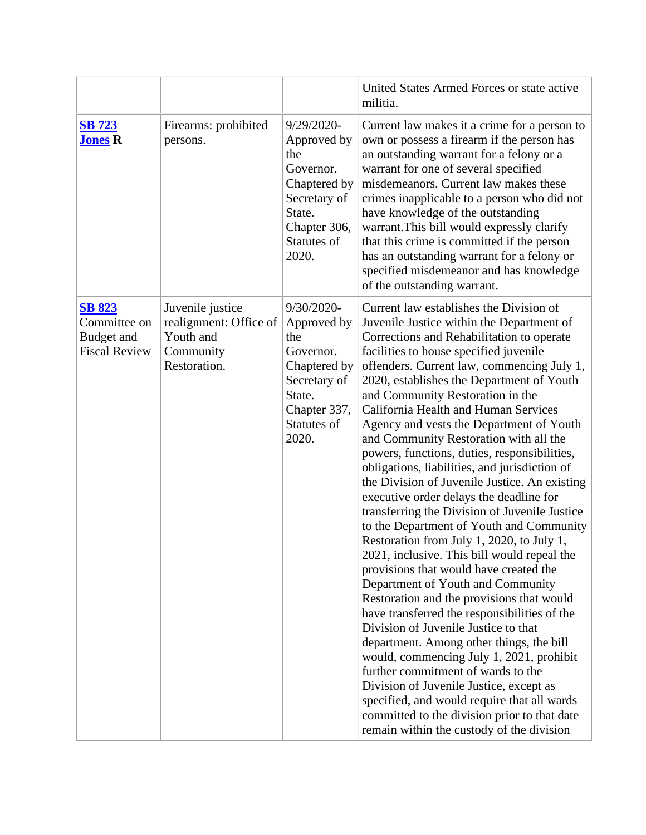|                                                                     |                                                                                      |                                                                                                                                 | United States Armed Forces or state active<br>militia.                                                                                                                                                                                                                                                                                                                                                                                                                                                                                                                                                                                                                                                                                                                                                                                                                                                                                                                                                                                                                                                                                                                                                                                                                                                                                                                  |
|---------------------------------------------------------------------|--------------------------------------------------------------------------------------|---------------------------------------------------------------------------------------------------------------------------------|-------------------------------------------------------------------------------------------------------------------------------------------------------------------------------------------------------------------------------------------------------------------------------------------------------------------------------------------------------------------------------------------------------------------------------------------------------------------------------------------------------------------------------------------------------------------------------------------------------------------------------------------------------------------------------------------------------------------------------------------------------------------------------------------------------------------------------------------------------------------------------------------------------------------------------------------------------------------------------------------------------------------------------------------------------------------------------------------------------------------------------------------------------------------------------------------------------------------------------------------------------------------------------------------------------------------------------------------------------------------------|
| <b>SB 723</b><br><b>Jones R</b>                                     | Firearms: prohibited<br>persons.                                                     | 9/29/2020-<br>Approved by<br>the<br>Governor.<br>Chaptered by<br>Secretary of<br>State.<br>Chapter 306,<br>Statutes of<br>2020. | Current law makes it a crime for a person to<br>own or possess a firearm if the person has<br>an outstanding warrant for a felony or a<br>warrant for one of several specified<br>misdemeanors. Current law makes these<br>crimes inapplicable to a person who did not<br>have knowledge of the outstanding<br>warrant. This bill would expressly clarify<br>that this crime is committed if the person<br>has an outstanding warrant for a felony or<br>specified misdemeanor and has knowledge<br>of the outstanding warrant.                                                                                                                                                                                                                                                                                                                                                                                                                                                                                                                                                                                                                                                                                                                                                                                                                                         |
| <b>SB 823</b><br>Committee on<br>Budget and<br><b>Fiscal Review</b> | Juvenile justice<br>realignment: Office of<br>Youth and<br>Community<br>Restoration. | 9/30/2020-<br>Approved by<br>the<br>Governor.<br>Chaptered by<br>Secretary of<br>State.<br>Chapter 337,<br>Statutes of<br>2020. | Current law establishes the Division of<br>Juvenile Justice within the Department of<br>Corrections and Rehabilitation to operate<br>facilities to house specified juvenile<br>offenders. Current law, commencing July 1,<br>2020, establishes the Department of Youth<br>and Community Restoration in the<br>California Health and Human Services<br>Agency and vests the Department of Youth<br>and Community Restoration with all the<br>powers, functions, duties, responsibilities,<br>obligations, liabilities, and jurisdiction of<br>the Division of Juvenile Justice. An existing<br>executive order delays the deadline for<br>transferring the Division of Juvenile Justice<br>to the Department of Youth and Community<br>Restoration from July 1, 2020, to July 1,<br>2021, inclusive. This bill would repeal the<br>provisions that would have created the<br>Department of Youth and Community<br>Restoration and the provisions that would<br>have transferred the responsibilities of the<br>Division of Juvenile Justice to that<br>department. Among other things, the bill<br>would, commencing July 1, 2021, prohibit<br>further commitment of wards to the<br>Division of Juvenile Justice, except as<br>specified, and would require that all wards<br>committed to the division prior to that date<br>remain within the custody of the division |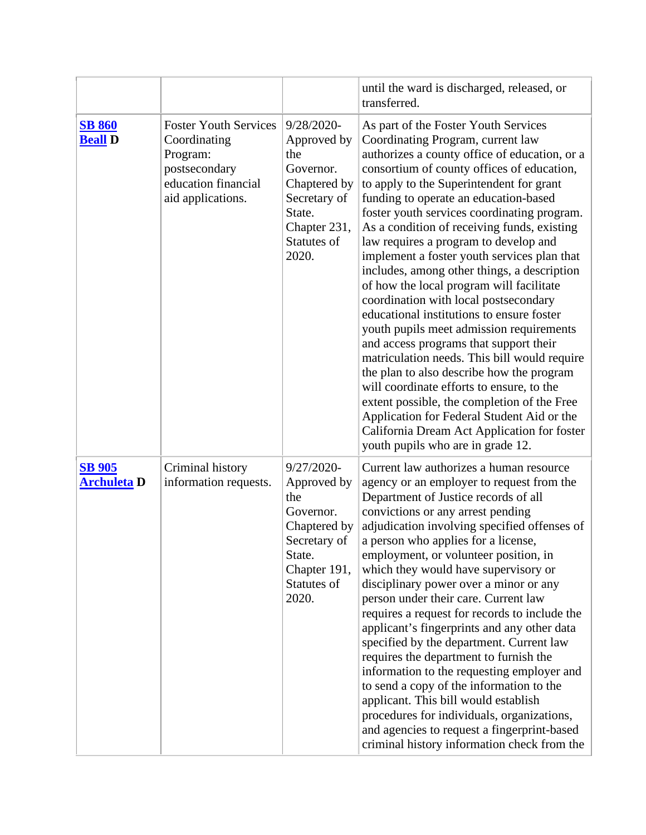|                                     |                                                                                                                       |                                                                                                                                 | until the ward is discharged, released, or<br>transferred.                                                                                                                                                                                                                                                                                                                                                                                                                                                                                                                                                                                                                                                                                                                                                                                                                                                                                                                                                                                            |
|-------------------------------------|-----------------------------------------------------------------------------------------------------------------------|---------------------------------------------------------------------------------------------------------------------------------|-------------------------------------------------------------------------------------------------------------------------------------------------------------------------------------------------------------------------------------------------------------------------------------------------------------------------------------------------------------------------------------------------------------------------------------------------------------------------------------------------------------------------------------------------------------------------------------------------------------------------------------------------------------------------------------------------------------------------------------------------------------------------------------------------------------------------------------------------------------------------------------------------------------------------------------------------------------------------------------------------------------------------------------------------------|
| <b>SB 860</b><br><b>Beall</b> D     | <b>Foster Youth Services</b><br>Coordinating<br>Program:<br>postsecondary<br>education financial<br>aid applications. | 9/28/2020-<br>Approved by<br>the<br>Governor.<br>Chaptered by<br>Secretary of<br>State.<br>Chapter 231,<br>Statutes of<br>2020. | As part of the Foster Youth Services<br>Coordinating Program, current law<br>authorizes a county office of education, or a<br>consortium of county offices of education,<br>to apply to the Superintendent for grant<br>funding to operate an education-based<br>foster youth services coordinating program.<br>As a condition of receiving funds, existing<br>law requires a program to develop and<br>implement a foster youth services plan that<br>includes, among other things, a description<br>of how the local program will facilitate<br>coordination with local postsecondary<br>educational institutions to ensure foster<br>youth pupils meet admission requirements<br>and access programs that support their<br>matriculation needs. This bill would require<br>the plan to also describe how the program<br>will coordinate efforts to ensure, to the<br>extent possible, the completion of the Free<br>Application for Federal Student Aid or the<br>California Dream Act Application for foster<br>youth pupils who are in grade 12. |
| <b>SB 905</b><br><b>Archuleta D</b> | Criminal history<br>information requests.                                                                             | 9/27/2020-<br>Approved by<br>the<br>Governor.<br>Chaptered by<br>Secretary of<br>State.<br>Chapter 191,<br>Statutes of<br>2020. | Current law authorizes a human resource<br>agency or an employer to request from the<br>Department of Justice records of all<br>convictions or any arrest pending<br>adjudication involving specified offenses of<br>a person who applies for a license,<br>employment, or volunteer position, in<br>which they would have supervisory or<br>disciplinary power over a minor or any<br>person under their care. Current law<br>requires a request for records to include the<br>applicant's fingerprints and any other data<br>specified by the department. Current law<br>requires the department to furnish the<br>information to the requesting employer and<br>to send a copy of the information to the<br>applicant. This bill would establish<br>procedures for individuals, organizations,<br>and agencies to request a fingerprint-based<br>criminal history information check from the                                                                                                                                                       |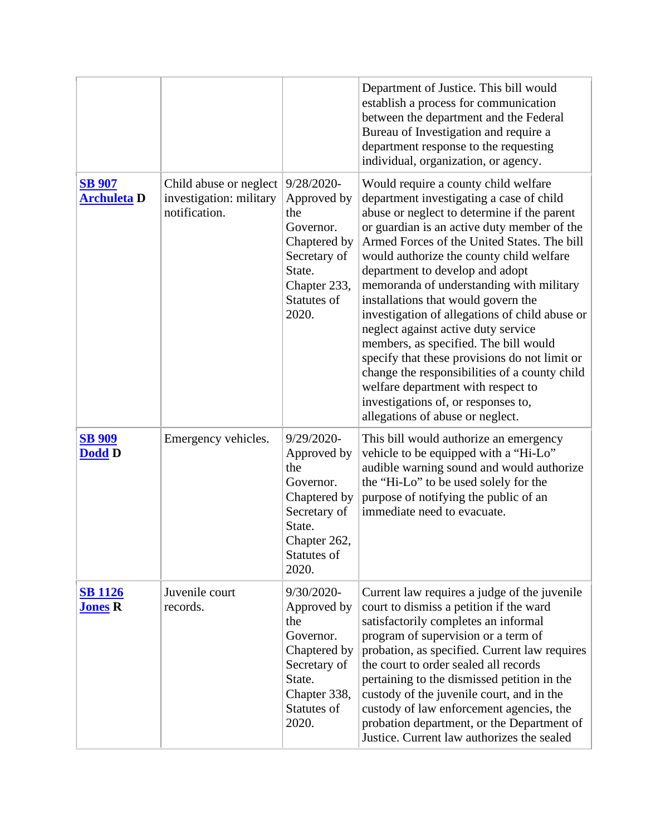|                                     |                                                                    |                                                                                                                                 | Department of Justice. This bill would<br>establish a process for communication<br>between the department and the Federal<br>Bureau of Investigation and require a<br>department response to the requesting<br>individual, organization, or agency.                                                                                                                                                                                                                                                                                                                                                                                                                                                                                                  |
|-------------------------------------|--------------------------------------------------------------------|---------------------------------------------------------------------------------------------------------------------------------|------------------------------------------------------------------------------------------------------------------------------------------------------------------------------------------------------------------------------------------------------------------------------------------------------------------------------------------------------------------------------------------------------------------------------------------------------------------------------------------------------------------------------------------------------------------------------------------------------------------------------------------------------------------------------------------------------------------------------------------------------|
| <b>SB 907</b><br><b>Archuleta D</b> | Child abuse or neglect<br>investigation: military<br>notification. | 9/28/2020-<br>Approved by<br>the<br>Governor.<br>Chaptered by<br>Secretary of<br>State.<br>Chapter 233,<br>Statutes of<br>2020. | Would require a county child welfare<br>department investigating a case of child<br>abuse or neglect to determine if the parent<br>or guardian is an active duty member of the<br>Armed Forces of the United States. The bill<br>would authorize the county child welfare<br>department to develop and adopt<br>memoranda of understanding with military<br>installations that would govern the<br>investigation of allegations of child abuse or<br>neglect against active duty service<br>members, as specified. The bill would<br>specify that these provisions do not limit or<br>change the responsibilities of a county child<br>welfare department with respect to<br>investigations of, or responses to,<br>allegations of abuse or neglect. |
| <b>SB 909</b><br><b>Dodd D</b>      | Emergency vehicles.                                                | 9/29/2020-<br>Approved by<br>the<br>Governor.<br>Chaptered by<br>Secretary of<br>State.<br>Chapter 262,<br>Statutes of<br>2020. | This bill would authorize an emergency<br>vehicle to be equipped with a "Hi-Lo"<br>audible warning sound and would authorize<br>the "Hi-Lo" to be used solely for the<br>purpose of notifying the public of an<br>immediate need to evacuate.                                                                                                                                                                                                                                                                                                                                                                                                                                                                                                        |
| <b>SB 1126</b><br><b>Jones R</b>    | Juvenile court<br>records.                                         | 9/30/2020-<br>Approved by<br>the<br>Governor.<br>Chaptered by<br>Secretary of<br>State.<br>Chapter 338,<br>Statutes of<br>2020. | Current law requires a judge of the juvenile<br>court to dismiss a petition if the ward<br>satisfactorily completes an informal<br>program of supervision or a term of<br>probation, as specified. Current law requires<br>the court to order sealed all records<br>pertaining to the dismissed petition in the<br>custody of the juvenile court, and in the<br>custody of law enforcement agencies, the<br>probation department, or the Department of<br>Justice. Current law authorizes the sealed                                                                                                                                                                                                                                                 |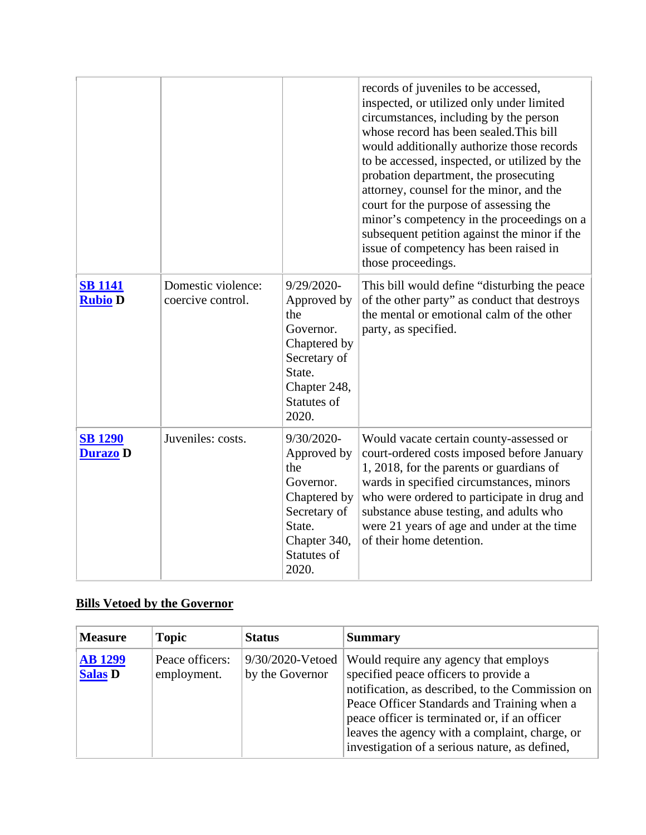|                                   |                                         |                                                                                                                                    | records of juveniles to be accessed,<br>inspected, or utilized only under limited<br>circumstances, including by the person<br>whose record has been sealed. This bill<br>would additionally authorize those records<br>to be accessed, inspected, or utilized by the<br>probation department, the prosecuting<br>attorney, counsel for the minor, and the<br>court for the purpose of assessing the<br>minor's competency in the proceedings on a<br>subsequent petition against the minor if the<br>issue of competency has been raised in<br>those proceedings. |
|-----------------------------------|-----------------------------------------|------------------------------------------------------------------------------------------------------------------------------------|--------------------------------------------------------------------------------------------------------------------------------------------------------------------------------------------------------------------------------------------------------------------------------------------------------------------------------------------------------------------------------------------------------------------------------------------------------------------------------------------------------------------------------------------------------------------|
| <b>SB 1141</b><br><b>Rubio D</b>  | Domestic violence:<br>coercive control. | $9/29/2020$ -<br>Approved by<br>the<br>Governor.<br>Chaptered by<br>Secretary of<br>State.<br>Chapter 248,<br>Statutes of<br>2020. | This bill would define "disturbing the peace"<br>of the other party" as conduct that destroys<br>the mental or emotional calm of the other<br>party, as specified.                                                                                                                                                                                                                                                                                                                                                                                                 |
| <b>SB 1290</b><br><b>Durazo</b> D | Juveniles: costs.                       | 9/30/2020-<br>Approved by<br>the<br>Governor.<br>Chaptered by<br>Secretary of<br>State.<br>Chapter 340,<br>Statutes of<br>2020.    | Would vacate certain county-assessed or<br>court-ordered costs imposed before January<br>1, 2018, for the parents or guardians of<br>wards in specified circumstances, minors<br>who were ordered to participate in drug and<br>substance abuse testing, and adults who<br>were 21 years of age and under at the time<br>of their home detention.                                                                                                                                                                                                                  |

## **Bills Vetoed by the Governor**

| <b>Measure</b>                   | <b>Topic</b>                   | <b>Status</b>                       | <b>Summary</b>                                                                                                                                                                                                                                                                                                                         |
|----------------------------------|--------------------------------|-------------------------------------|----------------------------------------------------------------------------------------------------------------------------------------------------------------------------------------------------------------------------------------------------------------------------------------------------------------------------------------|
| <b>AB 1299</b><br><b>Salas D</b> | Peace officers:<br>employment. | 9/30/2020-Vetoed<br>by the Governor | Would require any agency that employs<br>specified peace officers to provide a<br>notification, as described, to the Commission on<br>Peace Officer Standards and Training when a<br>peace officer is terminated or, if an officer<br>leaves the agency with a complaint, charge, or<br>investigation of a serious nature, as defined, |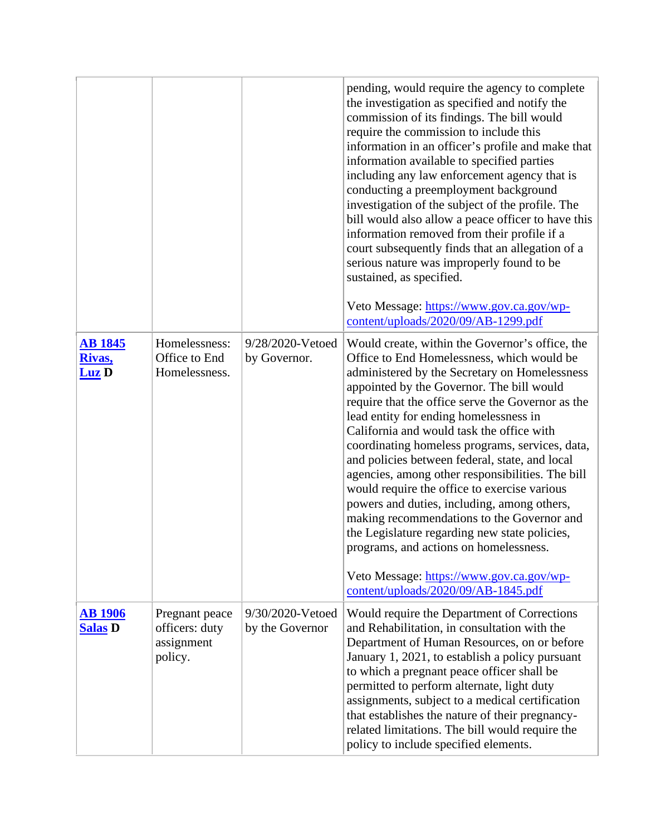|                                          |                                                 |                                  | pending, would require the agency to complete<br>the investigation as specified and notify the<br>commission of its findings. The bill would<br>require the commission to include this<br>information in an officer's profile and make that                                                                                                                                                                                                                                                                                                                                                                                                                                                                                                                                          |
|------------------------------------------|-------------------------------------------------|----------------------------------|--------------------------------------------------------------------------------------------------------------------------------------------------------------------------------------------------------------------------------------------------------------------------------------------------------------------------------------------------------------------------------------------------------------------------------------------------------------------------------------------------------------------------------------------------------------------------------------------------------------------------------------------------------------------------------------------------------------------------------------------------------------------------------------|
|                                          |                                                 |                                  | information available to specified parties<br>including any law enforcement agency that is<br>conducting a preemployment background<br>investigation of the subject of the profile. The<br>bill would also allow a peace officer to have this<br>information removed from their profile if a<br>court subsequently finds that an allegation of a<br>serious nature was improperly found to be<br>sustained, as specified.                                                                                                                                                                                                                                                                                                                                                            |
|                                          |                                                 |                                  | Veto Message: https://www.gov.ca.gov/wp-<br>content/uploads/2020/09/AB-1299.pdf                                                                                                                                                                                                                                                                                                                                                                                                                                                                                                                                                                                                                                                                                                      |
| <u>AB 1845</u><br>Rivas,<br><b>Luz</b> D | Homelessness:<br>Office to End<br>Homelessness. | 9/28/2020-Vetoed<br>by Governor. | Would create, within the Governor's office, the<br>Office to End Homelessness, which would be<br>administered by the Secretary on Homelessness<br>appointed by the Governor. The bill would<br>require that the office serve the Governor as the<br>lead entity for ending homelessness in<br>California and would task the office with<br>coordinating homeless programs, services, data,<br>and policies between federal, state, and local<br>agencies, among other responsibilities. The bill<br>would require the office to exercise various<br>powers and duties, including, among others,<br>making recommendations to the Governor and<br>the Legislature regarding new state policies,<br>programs, and actions on homelessness.<br>Veto Message: https://www.gov.ca.gov/wp- |
| <b>AB</b> 1906                           | Pregnant peace                                  | 9/30/2020-Vetoed                 | content/uploads/2020/09/AB-1845.pdf<br>Would require the Department of Corrections                                                                                                                                                                                                                                                                                                                                                                                                                                                                                                                                                                                                                                                                                                   |
| <b>Salas D</b>                           | officers: duty<br>assignment<br>policy.         | by the Governor                  | and Rehabilitation, in consultation with the<br>Department of Human Resources, on or before<br>January 1, 2021, to establish a policy pursuant<br>to which a pregnant peace officer shall be<br>permitted to perform alternate, light duty<br>assignments, subject to a medical certification<br>that establishes the nature of their pregnancy-<br>related limitations. The bill would require the<br>policy to include specified elements.                                                                                                                                                                                                                                                                                                                                         |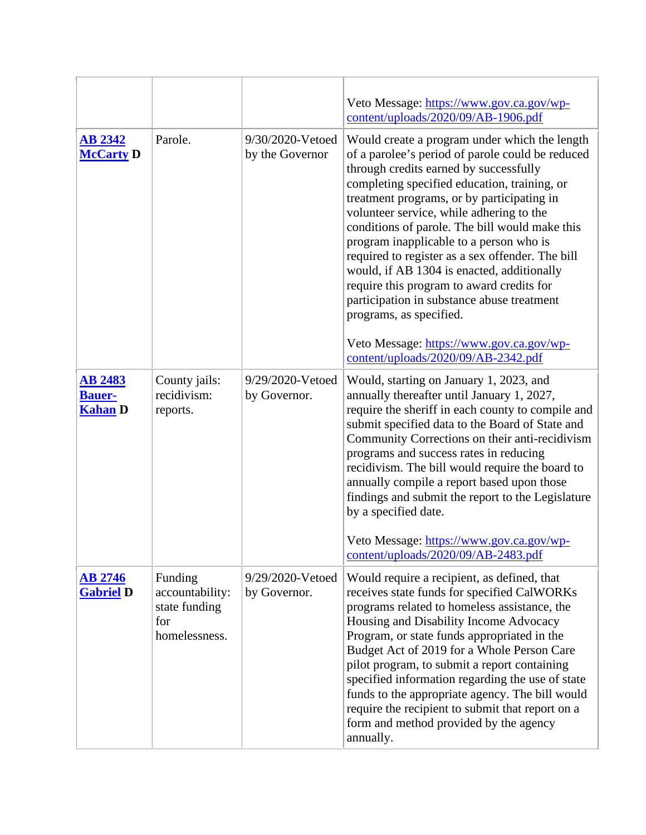|                                                   |                                                                     |                                     | Veto Message: https://www.gov.ca.gov/wp-<br>content/uploads/2020/09/AB-1906.pdf                                                                                                                                                                                                                                                                                                                                                                                                                                                                                                                                                                                                               |
|---------------------------------------------------|---------------------------------------------------------------------|-------------------------------------|-----------------------------------------------------------------------------------------------------------------------------------------------------------------------------------------------------------------------------------------------------------------------------------------------------------------------------------------------------------------------------------------------------------------------------------------------------------------------------------------------------------------------------------------------------------------------------------------------------------------------------------------------------------------------------------------------|
| <b>AB 2342</b><br><b>McCarty D</b>                | Parole.                                                             | 9/30/2020-Vetoed<br>by the Governor | Would create a program under which the length<br>of a parolee's period of parole could be reduced<br>through credits earned by successfully<br>completing specified education, training, or<br>treatment programs, or by participating in<br>volunteer service, while adhering to the<br>conditions of parole. The bill would make this<br>program inapplicable to a person who is<br>required to register as a sex offender. The bill<br>would, if AB 1304 is enacted, additionally<br>require this program to award credits for<br>participation in substance abuse treatment<br>programs, as specified.<br>Veto Message: https://www.gov.ca.gov/wp-<br>content/uploads/2020/09/AB-2342.pdf |
| <b>AB 2483</b><br><b>Bauer-</b><br><b>Kahan D</b> | County jails:<br>recidivism:<br>reports.                            | 9/29/2020-Vetoed<br>by Governor.    | Would, starting on January 1, 2023, and<br>annually thereafter until January 1, 2027,<br>require the sheriff in each county to compile and<br>submit specified data to the Board of State and<br>Community Corrections on their anti-recidivism<br>programs and success rates in reducing<br>recidivism. The bill would require the board to<br>annually compile a report based upon those<br>findings and submit the report to the Legislature<br>by a specified date.<br>Veto Message: https://www.gov.ca.gov/wp-<br>content/uploads/2020/09/AB-2483.pdf                                                                                                                                    |
| <b>AB 2746</b><br><b>Gabriel D</b>                | Funding<br>accountability:<br>state funding<br>for<br>homelessness. | 9/29/2020-Vetoed<br>by Governor.    | Would require a recipient, as defined, that<br>receives state funds for specified CalWORKs<br>programs related to homeless assistance, the<br>Housing and Disability Income Advocacy<br>Program, or state funds appropriated in the<br>Budget Act of 2019 for a Whole Person Care<br>pilot program, to submit a report containing<br>specified information regarding the use of state<br>funds to the appropriate agency. The bill would<br>require the recipient to submit that report on a<br>form and method provided by the agency<br>annually.                                                                                                                                           |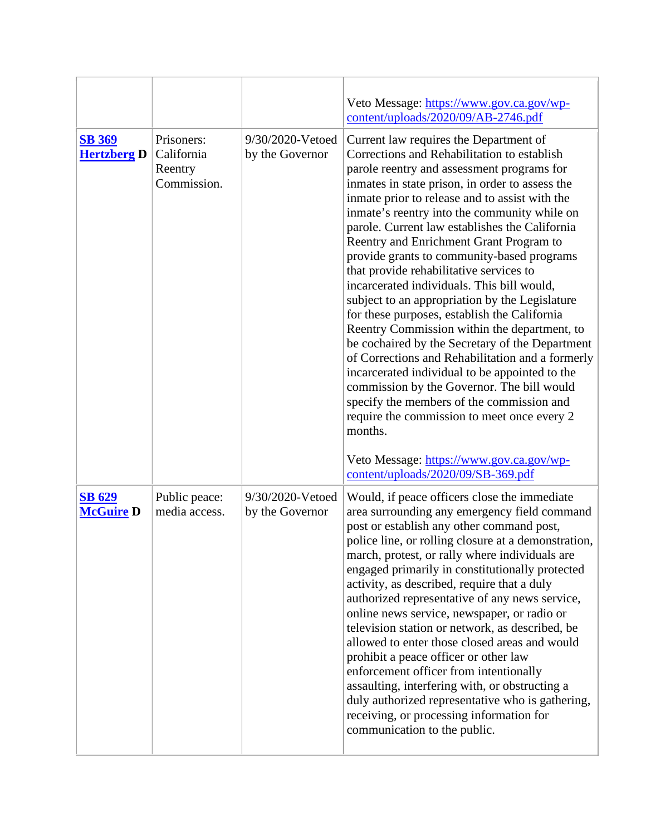|                                     |                                                    |                                     | Veto Message: https://www.gov.ca.gov/wp-<br>content/uploads/2020/09/AB-2746.pdf                                                                                                                                                                                                                                                                                                                                                                                                                                                                                                                                                                                                                                                                                                                                                                                                                                                                                                              |
|-------------------------------------|----------------------------------------------------|-------------------------------------|----------------------------------------------------------------------------------------------------------------------------------------------------------------------------------------------------------------------------------------------------------------------------------------------------------------------------------------------------------------------------------------------------------------------------------------------------------------------------------------------------------------------------------------------------------------------------------------------------------------------------------------------------------------------------------------------------------------------------------------------------------------------------------------------------------------------------------------------------------------------------------------------------------------------------------------------------------------------------------------------|
| <b>SB 369</b><br><b>Hertzberg D</b> | Prisoners:<br>California<br>Reentry<br>Commission. | 9/30/2020-Vetoed<br>by the Governor | Current law requires the Department of<br>Corrections and Rehabilitation to establish<br>parole reentry and assessment programs for<br>inmates in state prison, in order to assess the<br>inmate prior to release and to assist with the<br>inmate's reentry into the community while on<br>parole. Current law establishes the California<br>Reentry and Enrichment Grant Program to<br>provide grants to community-based programs<br>that provide rehabilitative services to<br>incarcerated individuals. This bill would,<br>subject to an appropriation by the Legislature<br>for these purposes, establish the California<br>Reentry Commission within the department, to<br>be cochaired by the Secretary of the Department<br>of Corrections and Rehabilitation and a formerly<br>incarcerated individual to be appointed to the<br>commission by the Governor. The bill would<br>specify the members of the commission and<br>require the commission to meet once every 2<br>months. |
|                                     |                                                    |                                     | Veto Message: https://www.gov.ca.gov/wp-<br>content/uploads/2020/09/SB-369.pdf                                                                                                                                                                                                                                                                                                                                                                                                                                                                                                                                                                                                                                                                                                                                                                                                                                                                                                               |
| <b>SB 629</b><br><b>McGuire D</b>   | Public peace:<br>media access.                     | 9/30/2020-Vetoed<br>by the Governor | Would, if peace officers close the immediate<br>area surrounding any emergency field command<br>post or establish any other command post,<br>police line, or rolling closure at a demonstration,<br>march, protest, or rally where individuals are<br>engaged primarily in constitutionally protected<br>activity, as described, require that a duly<br>authorized representative of any news service,<br>online news service, newspaper, or radio or<br>television station or network, as described, be<br>allowed to enter those closed areas and would<br>prohibit a peace officer or other law<br>enforcement officer from intentionally<br>assaulting, interfering with, or obstructing a<br>duly authorized representative who is gathering,<br>receiving, or processing information for<br>communication to the public.                                                                                                                                                               |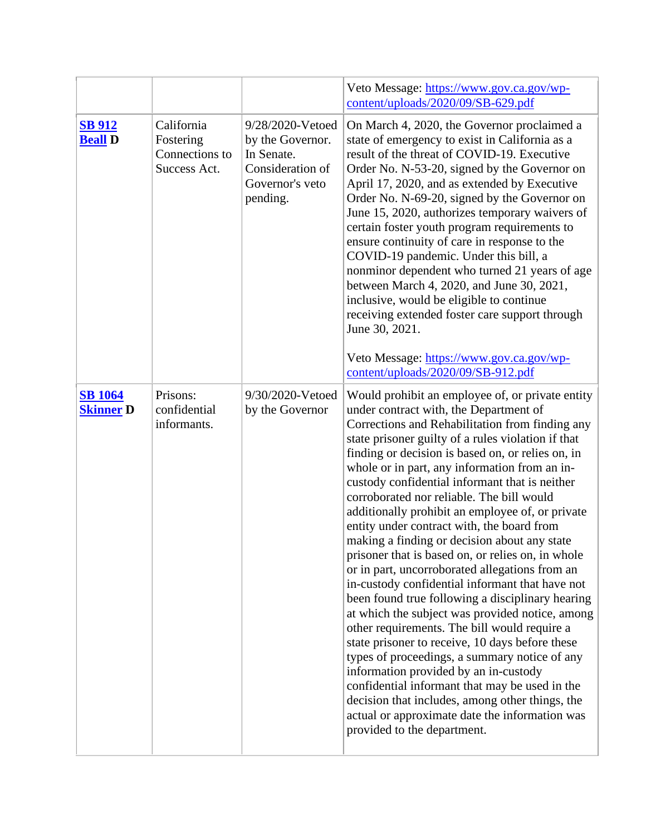|                                    |                                                           |                                                                                                       | Veto Message: https://www.gov.ca.gov/wp-<br>content/uploads/2020/09/SB-629.pdf                                                                                                                                                                                                                                                                                                                                                                                                                                                                                                                                                                                                                                                                                                                                                                                                                                                                                                                                                                                                                                                                                                                                 |
|------------------------------------|-----------------------------------------------------------|-------------------------------------------------------------------------------------------------------|----------------------------------------------------------------------------------------------------------------------------------------------------------------------------------------------------------------------------------------------------------------------------------------------------------------------------------------------------------------------------------------------------------------------------------------------------------------------------------------------------------------------------------------------------------------------------------------------------------------------------------------------------------------------------------------------------------------------------------------------------------------------------------------------------------------------------------------------------------------------------------------------------------------------------------------------------------------------------------------------------------------------------------------------------------------------------------------------------------------------------------------------------------------------------------------------------------------|
| <b>SB 912</b><br><b>Beall D</b>    | California<br>Fostering<br>Connections to<br>Success Act. | 9/28/2020-Vetoed<br>by the Governor.<br>In Senate.<br>Consideration of<br>Governor's veto<br>pending. | On March 4, 2020, the Governor proclaimed a<br>state of emergency to exist in California as a<br>result of the threat of COVID-19. Executive<br>Order No. N-53-20, signed by the Governor on<br>April 17, 2020, and as extended by Executive<br>Order No. N-69-20, signed by the Governor on<br>June 15, 2020, authorizes temporary waivers of<br>certain foster youth program requirements to<br>ensure continuity of care in response to the<br>COVID-19 pandemic. Under this bill, a<br>nonminor dependent who turned 21 years of age<br>between March 4, 2020, and June 30, 2021,<br>inclusive, would be eligible to continue<br>receiving extended foster care support through<br>June 30, 2021.<br>Veto Message: https://www.gov.ca.gov/wp-<br>content/uploads/2020/09/SB-912.pdf                                                                                                                                                                                                                                                                                                                                                                                                                        |
| <b>SB</b> 1064<br><b>Skinner D</b> | Prisons:<br>confidential<br>informants.                   | 9/30/2020-Vetoed<br>by the Governor                                                                   | Would prohibit an employee of, or private entity<br>under contract with, the Department of<br>Corrections and Rehabilitation from finding any<br>state prisoner guilty of a rules violation if that<br>finding or decision is based on, or relies on, in<br>whole or in part, any information from an in-<br>custody confidential informant that is neither<br>corroborated nor reliable. The bill would<br>additionally prohibit an employee of, or private<br>entity under contract with, the board from<br>making a finding or decision about any state<br>prisoner that is based on, or relies on, in whole<br>or in part, uncorroborated allegations from an<br>in-custody confidential informant that have not<br>been found true following a disciplinary hearing<br>at which the subject was provided notice, among<br>other requirements. The bill would require a<br>state prisoner to receive, 10 days before these<br>types of proceedings, a summary notice of any<br>information provided by an in-custody<br>confidential informant that may be used in the<br>decision that includes, among other things, the<br>actual or approximate date the information was<br>provided to the department. |